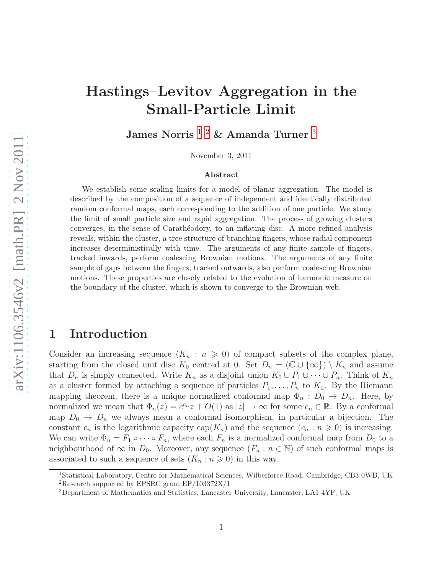# Hastings–Levitov Aggregation in the Small-Particle Limit

James Norris $^{\mathrm{1} \mathrm{-} 2}$  $^{\mathrm{1} \mathrm{-} 2}$  $^{\mathrm{1} \mathrm{-} 2}$  $^{\mathrm{1} \mathrm{-} 2}$  $^{\mathrm{1} \mathrm{-} 2}$  & Amanda Turner $^{\mathrm{3}}$  $^{\mathrm{3}}$  $^{\mathrm{3}}$ 

November 3, 2011

#### Abstract

We establish some scaling limits for a model of planar aggregation. The model is described by the composition of a sequence of independent and identically distributed random conformal maps, each corresponding to the addition of one particle. We study the limit of small particle size and rapid aggregation. The process of growing clusters converges, in the sense of Carathéodory, to an inflating disc. A more refined analysis reveals, within the cluster, a tree structure of branching fingers, whose radial component increases deterministically with time. The arguments of any finite sample of fingers, tracked inwards, perform coalescing Brownian motions. The arguments of any finite sample of gaps between the fingers, tracked outwards, also perform coalescing Brownian motions. These properties are closely related to the evolution of harmonic measure on the boundary of the cluster, which is shown to converge to the Brownian web.

#### 1 Introduction

Consider an increasing sequence  $(K_n : n \geq 0)$  of compact subsets of the complex plane, starting from the closed unit disc  $K_0$  centred at 0. Set  $D_n = (\mathbb{C} \cup \{\infty\}) \setminus K_n$  and assume that  $D_n$  is simply connected. Write  $K_n$  as a disjoint union  $K_0 \cup P_1 \cup \cdots \cup P_n$ . Think of  $K_n$ as a cluster formed by attaching a sequence of particles  $P_1, \ldots, P_n$  to  $K_0$ . By the Riemann mapping theorem, there is a unique normalized conformal map  $\Phi_n : D_0 \to D_n$ . Here, by normalized we mean that  $\Phi_n(z) = e^{c_n}z + O(1)$  as  $|z| \to \infty$  for some  $c_n \in \mathbb{R}$ . By a conformal map  $D_0 \to D_n$  we always mean a conformal isomorphism, in particular a bijection. The constant  $c_n$  is the logarithmic capacity cap( $K_n$ ) and the sequence  $(c_n : n \geq 0)$  is increasing. We can write  $\Phi_n = F_1 \circ \cdots \circ F_n$ , where each  $F_n$  is a normalized conformal map from  $D_0$  to a neighbourhood of  $\infty$  in  $D_0$ . Moreover, any sequence  $(F_n : n \in \mathbb{N})$  of such conformal maps is associated to such a sequence of sets  $(K_n : n \geq 0)$  in this way.

<sup>&</sup>lt;sup>1</sup>Statistical Laboratory, Centre for Mathematical Sciences, Wilberforce Road, Cambridge, CB3 0WB, UK

<span id="page-0-0"></span><sup>2</sup>Research supported by EPSRC grant EP/103372X/1

<span id="page-0-2"></span><span id="page-0-1"></span><sup>3</sup>Department of Mathematics and Statistics, Lancaster University, Lancaster, LA1 4YF, UK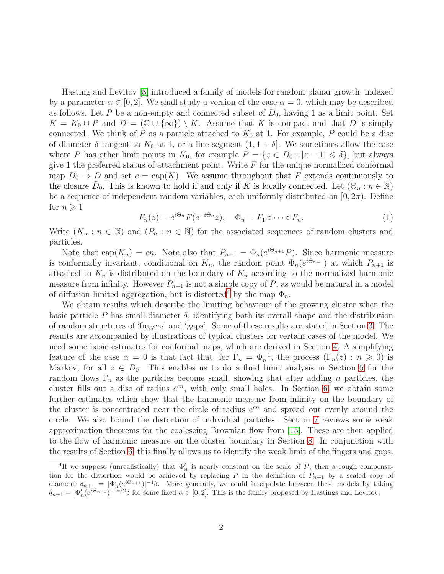Hasting and Levitov [\[8\]](#page-37-0) introduced a family of models for random planar growth, indexed by a parameter  $\alpha \in [0, 2]$ . We shall study a version of the case  $\alpha = 0$ , which may be described as follows. Let P be a non-empty and connected subset of  $D_0$ , having 1 as a limit point. Set  $K = K_0 \cup P$  and  $D = (\mathbb{C} \cup {\infty}) \setminus K$ . Assume that K is compact and that D is simply connected. We think of P as a particle attached to  $K_0$  at 1. For example, P could be a disc of diameter  $\delta$  tangent to  $K_0$  at 1, or a line segment  $(1, 1 + \delta]$ . We sometimes allow the case where P has other limit points in  $K_0$ , for example  $P = \{z \in D_0 : |z - 1| \leq \delta\}$ , but always give 1 the preferred status of attachment point. Write  $F$  for the unique normalized conformal map  $D_0 \to D$  and set  $c = \text{cap}(K)$ . We assume throughout that F extends continuously to the closure  $\bar{D}_0$ . This is known to hold if and only if K is locally connected. Let  $(\Theta_n : n \in \mathbb{N})$ be a sequence of independent random variables, each uniformly distributed on  $[0, 2\pi)$ . Define for  $n \geqslant 1$ 

$$
F_n(z) = e^{i\Theta_n} F(e^{-i\Theta_n} z), \quad \Phi_n = F_1 \circ \cdots \circ F_n.
$$
 (1)

Write  $(K_n : n \in \mathbb{N})$  and  $(P_n : n \in \mathbb{N})$  for the associated sequences of random clusters and particles.

Note that  $cap(K_n) = cn$ . Note also that  $P_{n+1} = \Phi_n(e^{i\Theta_{n+1}}P)$ . Since harmonic measure is conformally invariant, conditional on  $K_n$ , the random point  $\Phi_n(e^{i\Theta_{n+1}})$  at which  $P_{n+1}$  is attached to  $K_n$  is distributed on the boundary of  $K_n$  according to the normalized harmonic measure from infinity. However  $P_{n+1}$  is not a simple copy of P, as would be natural in a model of diffusion limited aggregation, but is distorted<sup>[4](#page-1-0)</sup> by the map  $\Phi_n$ .

We obtain results which describe the limiting behaviour of the growing cluster when the basic particle P has small diameter  $\delta$ , identifying both its overall shape and the distribution of random structures of 'fingers' and 'gaps'. Some of these results are stated in Section [3.](#page-3-0) The results are accompanied by illustrations of typical clusters for certain cases of the model. We need some basic estimates for conformal maps, which are derived in Section [4.](#page-8-0) A simplifying feature of the case  $\alpha = 0$  is that fact that, for  $\Gamma_n = \Phi_n^{-1}$ , the process  $(\Gamma_n(z) : n \geq 0)$  is Markov, for all  $z \in D_0$ . This enables us to do a fluid limit analysis in Section [5](#page-13-0) for the random flows  $\Gamma_n$  as the particles become small, showing that after adding n particles, the cluster fills out a disc of radius  $e^{cn}$ , with only small holes. In Section [6,](#page-17-0) we obtain some further estimates which show that the harmonic measure from infinity on the boundary of the cluster is concentrated near the circle of radius  $e^{cn}$  and spread out evenly around the circle. We also bound the distortion of individual particles. Section [7](#page-24-0) reviews some weak approximation theorems for the coalescing Brownian flow from [\[15\]](#page-37-1). These are then applied to the flow of harmonic measure on the cluster boundary in Section [8.](#page-27-0) In conjunction with the results of Section [6,](#page-17-0) this finally allows us to identify the weak limit of the fingers and gaps.

<span id="page-1-0"></span><sup>&</sup>lt;sup>4</sup>If we suppose (unrealistically) that  $\Phi'_n$  is nearly constant on the scale of P, then a rough compensation for the distortion would be achieved by replacing P in the definition of  $P_{n+1}$  by a scaled copy of diameter  $\delta_{n+1} = |\Phi'_n(e^{i\Theta_{n+1}})|^{-1}\delta$ . More generally, we could interpolate between these models by taking  $\delta_{n+1} = |\Phi'_n(e^{i\Theta_{n+1}})|^{-\alpha/2}\delta$  for some fixed  $\alpha \in [0,2]$ . This is the family proposed by Hastings and Levitov.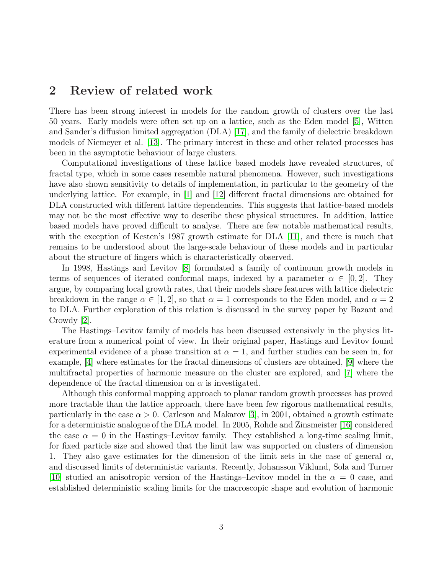#### 2 Review of related work

There has been strong interest in models for the random growth of clusters over the last 50 years. Early models were often set up on a lattice, such as the Eden model [\[5\]](#page-37-2), Witten and Sander's diffusion limited aggregation (DLA) [\[17\]](#page-38-0), and the family of dielectric breakdown models of Niemeyer et al. [\[13\]](#page-37-3). The primary interest in these and other related processes has been in the asymptotic behaviour of large clusters.

Computational investigations of these lattice based models have revealed structures, of fractal type, which in some cases resemble natural phenomena. However, such investigations have also shown sensitivity to details of implementation, in particular to the geometry of the underlying lattice. For example, in [\[1\]](#page-36-0) and [\[12\]](#page-37-4) different fractal dimensions are obtained for DLA constructed with different lattice dependencies. This suggests that lattice-based models may not be the most effective way to describe these physical structures. In addition, lattice based models have proved difficult to analyse. There are few notable mathematical results, with the exception of Kesten's 1987 growth estimate for DLA [\[11\]](#page-37-5), and there is much that remains to be understood about the large-scale behaviour of these models and in particular about the structure of fingers which is characteristically observed.

In 1998, Hastings and Levitov [\[8\]](#page-37-0) formulated a family of continuum growth models in terms of sequences of iterated conformal maps, indexed by a parameter  $\alpha \in [0, 2]$ . They argue, by comparing local growth rates, that their models share features with lattice dielectric breakdown in the range  $\alpha \in [1, 2]$ , so that  $\alpha = 1$  corresponds to the Eden model, and  $\alpha = 2$ to DLA. Further exploration of this relation is discussed in the survey paper by Bazant and Crowdy [\[2\]](#page-36-1).

The Hastings–Levitov family of models has been discussed extensively in the physics literature from a numerical point of view. In their original paper, Hastings and Levitov found experimental evidence of a phase transition at  $\alpha = 1$ , and further studies can be seen in, for example, [\[4\]](#page-37-6) where estimates for the fractal dimensions of clusters are obtained, [\[9\]](#page-37-7) where the multifractal properties of harmonic measure on the cluster are explored, and [\[7\]](#page-37-8) where the dependence of the fractal dimension on  $\alpha$  is investigated.

Although this conformal mapping approach to planar random growth processes has proved more tractable than the lattice approach, there have been few rigorous mathematical results, particularly in the case  $\alpha > 0$ . Carleson and Makarov [\[3\]](#page-37-9), in 2001, obtained a growth estimate for a deterministic analogue of the DLA model. In 2005, Rohde and Zinsmeister [\[16\]](#page-38-1) considered the case  $\alpha = 0$  in the Hastings–Levitov family. They established a long-time scaling limit, for fixed particle size and showed that the limit law was supported on clusters of dimension 1. They also gave estimates for the dimension of the limit sets in the case of general  $\alpha$ , and discussed limits of deterministic variants. Recently, Johansson Viklund, Sola and Turner [\[10\]](#page-37-10) studied an anisotropic version of the Hastings–Levitov model in the  $\alpha = 0$  case, and established deterministic scaling limits for the macroscopic shape and evolution of harmonic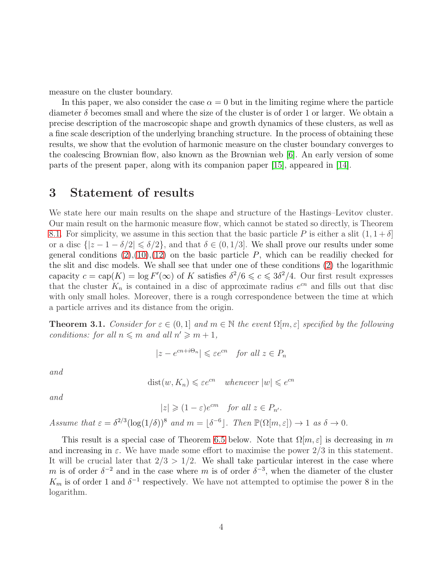measure on the cluster boundary.

In this paper, we also consider the case  $\alpha = 0$  but in the limiting regime where the particle diameter  $\delta$  becomes small and where the size of the cluster is of order 1 or larger. We obtain a precise description of the macroscopic shape and growth dynamics of these clusters, as well as a fine scale description of the underlying branching structure. In the process of obtaining these results, we show that the evolution of harmonic measure on the cluster boundary converges to the coalescing Brownian flow, also known as the Brownian web [\[6\]](#page-37-11). An early version of some parts of the present paper, along with its companion paper [\[15\]](#page-37-1), appeared in [\[14\]](#page-37-12).

#### <span id="page-3-0"></span>3 Statement of results

We state here our main results on the shape and structure of the Hastings–Levitov cluster. Our main result on the harmonic measure flow, which cannot be stated so directly, is Theorem [8.1.](#page-29-0) For simplicity, we assume in this section that the basic particle P is either a slit  $(1, 1 + \delta]$ or a disc  $\{|z - 1 - \delta/2| \le \delta/2\}$ , and that  $\delta \in (0, 1/3]$ . We shall prove our results under some general conditions  $(2),(10),(12)$  $(2),(10),(12)$  $(2),(10),(12)$  $(2),(10),(12)$  on the basic particle P, which can be readiliy checked for the slit and disc models. We shall see that under one of these conditions [\(2\)](#page-8-1) the logarithmic capacity  $c = \text{cap}(K) = \log F'(\infty)$  of K satisfies  $\delta^2/6 \leq c \leq 3\delta^2/4$ . Our first result expresses that the cluster  $K_n$  is contained in a disc of approximate radius  $e^{cn}$  and fills out that disc with only small holes. Moreover, there is a rough correspondence between the time at which a particle arrives and its distance from the origin.

<span id="page-3-1"></span>**Theorem 3.1.** *Consider for*  $\varepsilon \in (0,1]$  *and*  $m \in \mathbb{N}$  *the event*  $\Omega[m,\varepsilon]$  *specified by the following conditions: for all*  $n \leq m$  *and all*  $n' \geq m + 1$ *,* 

$$
|z - e^{cn + i\Theta_n}| \leqslant \varepsilon e^{cn} \quad \text{for all } z \in P_n
$$

*and*

$$
dist(w, K_n) \leqslant \varepsilon e^{cn} \quad whenever \ |w| \leqslant e^{cn}
$$

*and*

 $|z| \geqslant (1 - \varepsilon)e^{cm}$  *for all*  $z \in P_{n'}$ .

Assume that  $\varepsilon = \delta^{2/3} (\log(1/\delta))^8$  and  $m = \lfloor \delta^{-6} \rfloor$ . Then  $\mathbb{P}(\Omega[m,\varepsilon]) \to 1$  as  $\delta \to 0$ .

This result is a special case of Theorem [6.5](#page-23-0) below. Note that  $\Omega[m,\varepsilon]$  is decreasing in m and increasing in  $\varepsilon$ . We have made some effort to maximise the power  $2/3$  in this statement. It will be crucial later that  $2/3 > 1/2$ . We shall take particular interest in the case where m is of order  $\delta^{-2}$  and in the case where m is of order  $\delta^{-3}$ , when the diameter of the cluster  $K_m$  is of order 1 and  $\delta^{-1}$  respectively. We have not attempted to optimise the power 8 in the logarithm.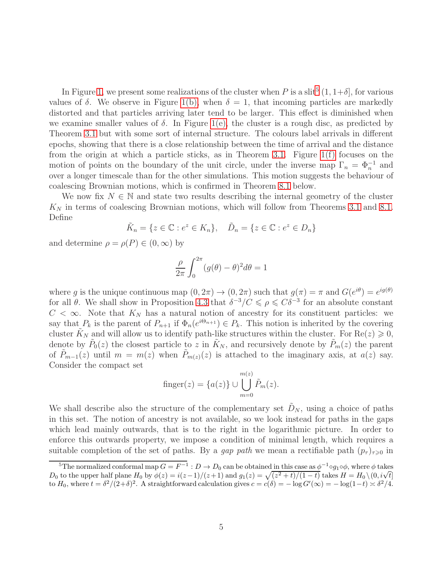In Figure [1,](#page-5-0) we present some realizations of the cluster when P is a slit<sup>[5](#page-4-0)</sup>  $(1, 1+\delta]$ , for various values of  $\delta$ . We observe in Figure [1\(b\),](#page-5-1) when  $\delta = 1$ , that incoming particles are markedly distorted and that particles arriving later tend to be larger. This effect is diminished when we examine smaller values of  $\delta$ . In Figure [1\(e\),](#page-5-2) the cluster is a rough disc, as predicted by Theorem [3.1](#page-3-1) but with some sort of internal structure. The colours label arrivals in different epochs, showing that there is a close relationship between the time of arrival and the distance from the origin at which a particle sticks, as in Theorem [3.1.](#page-3-1) Figure [1\(f\)](#page-5-3) focuses on the motion of points on the boundary of the unit circle, under the inverse map  $\Gamma_n = \Phi_n^{-1}$  and over a longer timescale than for the other simulations. This motion suggests the behaviour of coalescing Brownian motions, which is confirmed in Theorem [8.1](#page-29-0) below.

We now fix  $N \in \mathbb{N}$  and state two results describing the internal geometry of the cluster  $K_N$  in terms of coalescing Brownian motions, which will follow from Theorems [3.1](#page-3-1) and [8.1.](#page-29-0) Define

$$
\tilde{K}_n = \{ z \in \mathbb{C} : e^z \in K_n \}, \quad \tilde{D}_n = \{ z \in \mathbb{C} : e^z \in D_n \}
$$

and determine  $\rho = \rho(P) \in (0, \infty)$  by

$$
\frac{\rho}{2\pi} \int_0^{2\pi} (g(\theta) - \theta)^2 d\theta = 1
$$

where g is the unique continuous map  $(0, 2\pi) \to (0, 2\pi)$  such that  $g(\pi) = \pi$  and  $G(e^{i\theta}) = e^{ig(\theta)}$ for all  $\theta$ . We shall show in Proposition [4.3](#page-12-0) that  $\delta^{-3}/C \leq \rho \leq C\delta^{-3}$  for an absolute constant  $C < \infty$ . Note that  $K_N$  has a natural notion of ancestry for its constituent particles: we say that  $P_k$  is the parent of  $P_{n+1}$  if  $\Phi_n(e^{i\Theta_{n+1}}) \in P_k$ . This notion is inherited by the covering cluster  $K_N$  and will allow us to identify path-like structures within the cluster. For  $\text{Re}(z) \geq 0$ , denote by  $\tilde{P}_0(z)$  the closest particle to z in  $\tilde{K}_N$ , and recursively denote by  $\tilde{P}_m(z)$  the parent of  $\tilde{P}_{m-1}(z)$  until  $m = m(z)$  when  $\tilde{P}_{m(z)}(z)$  is attached to the imaginary axis, at  $a(z)$  say. Consider the compact set

$$
\text{finger}(z) = \{a(z)\} \cup \bigcup_{m=0}^{m(z)} \tilde{P}_m(z).
$$

We shall describe also the structure of the complementary set  $D_N$ , using a choice of paths in this set. The notion of ancestry is not available, so we look instead for paths in the gaps which lead mainly outwards, that is to the right in the logarithmic picture. In order to enforce this outwards property, we impose a condition of minimal length, which requires a suitable completion of the set of paths. By a *gap path* we mean a rectifiable path  $(p_\tau)_{\tau\geq 0}$  in

<span id="page-4-0"></span><sup>&</sup>lt;sup>5</sup>The normalized conformal map  $G = F^{-1} : D \to D_0$  can be obtained in this case as  $\phi^{-1} \circ g_1 \circ \phi$ , where  $\phi$  takes D<sub>0</sub> to the upper half plane  $H_0$  by  $\phi(z) = i(z-1)/(z+1)$  and  $g_1(z) = \sqrt{(z^2+t)/(1-t)}$  takes  $H = H_0 \setminus (0, i\sqrt{t}]$ to  $H_0$ , where  $t = \delta^2/(2+\delta)^2$ . A straightforward calculation gives  $c = c(\delta) = -\log G'(\infty) = -\log(1-t) \asymp \delta^2/4$ .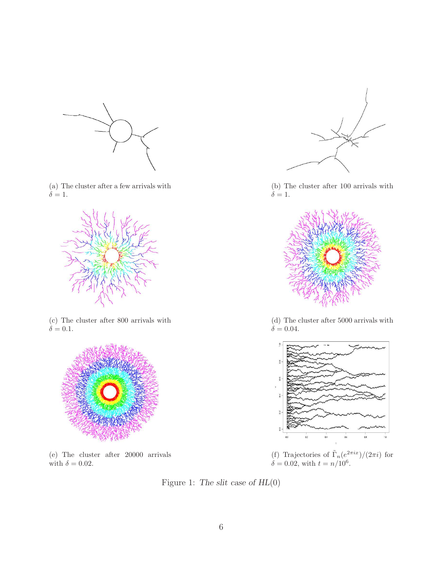

(a) The cluster after a few arrivals with  $\delta = 1.$ 



(c) The cluster after 800 arrivals with  $\delta = 0.1$ .



<span id="page-5-2"></span>(e) The cluster after 20000 arrivals with  $\delta = 0.02$ .



<span id="page-5-1"></span>(b) The cluster after 100 arrivals with  $\dot{\delta} = 1.$ 



(d) The cluster after 5000 arrivals with  $\delta = 0.04$ .



<span id="page-5-3"></span>(f) Trajectories of  $\tilde{\Gamma}_n(e^{2\pi ix})/(2\pi i)$  for  $\delta = 0.02$ , with  $t = n/10^6$ .

<span id="page-5-0"></span>Figure 1: The slit case of HL(0)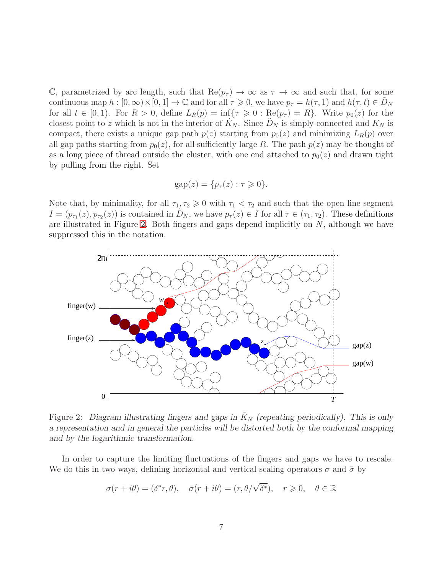C, parametrized by arc length, such that  $\text{Re}(p_{\tau}) \to \infty$  as  $\tau \to \infty$  and such that, for some continuous map  $h : [0, \infty) \times [0, 1] \to \mathbb{C}$  and for all  $\tau \geq 0$ , we have  $p_{\tau} = h(\tau, 1)$  and  $h(\tau, t) \in D_N$ for all  $t \in [0,1)$ . For  $R > 0$ , define  $L_R(p) = \inf\{\tau \geq 0 : \text{Re}(p_\tau) = R\}$ . Write  $p_0(z)$  for the closest point to z which is not in the interior of  $\tilde{K}_N$ . Since  $\tilde{D}_N$  is simply connected and  $K_N$  is compact, there exists a unique gap path  $p(z)$  starting from  $p_0(z)$  and minimizing  $L_R(p)$  over all gap paths starting from  $p_0(z)$ , for all sufficiently large R. The path  $p(z)$  may be thought of as a long piece of thread outside the cluster, with one end attached to  $p_0(z)$  and drawn tight by pulling from the right. Set

$$
gap(z) = \{p_{\tau}(z) : \tau \geq 0\}.
$$

Note that, by minimality, for all  $\tau_1, \tau_2 \geq 0$  with  $\tau_1 < \tau_2$  and such that the open line segment  $I = (p_{\tau_1}(z), p_{\tau_2}(z))$  is contained in  $\tilde{D}_N$ , we have  $p_{\tau}(z) \in I$  for all  $\tau \in (\tau_1, \tau_2)$ . These definitions are illustrated in Figure [2.](#page-6-0) Both fingers and gaps depend implicitly on N, although we have suppressed this in the notation.



<span id="page-6-0"></span>Figure 2: Diagram illustrating fingers and gaps in  $K_N$  (repeating periodically). This is only a representation and in general the particles will be distorted both by the conformal mapping and by the logarithmic transformation.

In order to capture the limiting fluctuations of the fingers and gaps we have to rescale. We do this in two ways, defining horizontal and vertical scaling operators  $\sigma$  and  $\bar{\sigma}$  by

$$
\sigma(r+i\theta) = (\delta^*r, \theta), \quad \bar{\sigma}(r+i\theta) = (r, \theta/\sqrt{\delta^*}), \quad r \geq 0, \quad \theta \in \mathbb{R}
$$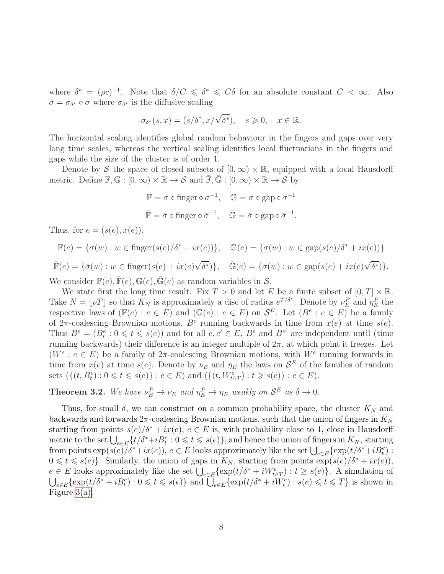where  $\delta^* = (\rho c)^{-1}$ . Note that  $\delta/C \leq \delta^* \leq C\delta$  for an absolute constant  $C < \infty$ . Also  $\bar{\sigma} = \sigma_{\delta^*} \circ \sigma$  where  $\sigma_{\delta^*}$  is the diffusive scaling

$$
\sigma_{\delta^*}(s, x) = (s/\delta^*, x/\sqrt{\delta^*}), \quad s \ge 0, \quad x \in \mathbb{R}.
$$

The horizontal scaling identifies global random behaviour in the fingers and gaps over very long time scales, whereas the vertical scaling identifies local fluctuations in the fingers and gaps while the size of the cluster is of order 1.

Denote by S the space of closed subsets of  $[0, \infty) \times \mathbb{R}$ , equipped with a local Hausdorff metric. Define  $\mathbb{F}, \mathbb{G} : [0, \infty) \times \mathbb{R} \to S$  and  $\overline{\mathbb{F}}, \overline{\mathbb{G}} : [0, \infty) \times \mathbb{R} \to S$  by

$$
\mathbb{F} = \sigma \circ \text{finger} \circ \sigma^{-1}, \quad \mathbb{G} = \sigma \circ \text{gap} \circ \sigma^{-1}
$$

$$
\overline{\mathbb{F}} = \overline{\sigma} \circ \text{finger} \circ \overline{\sigma}^{-1}, \quad \overline{\mathbb{G}} = \overline{\sigma} \circ \text{gap} \circ \overline{\sigma}^{-1}.
$$

Thus, for  $e = (s(e), x(e)),$ 

$$
\mathbb{F}(e) = \{\sigma(w) : w \in \text{finger}(s(e)/\delta^* + ix(e))\}, \quad \mathbb{G}(e) = \{\sigma(w) : w \in \text{gap}(s(e)/\delta^* + ix(e))\}
$$
\n
$$
\mathbb{F}(e) = \{\bar{\sigma}(w) : w \in \text{finger}(s(e) + ix(e)\sqrt{\delta^*})\}, \quad \mathbb{G}(e) = \{\bar{\sigma}(w) : w \in \text{gap}(s(e) + ix(e)\sqrt{\delta^*})\}.
$$

We consider  $\mathbb{F}(e), \mathbb{F}(e), \mathbb{G}(e), \mathbb{G}(e)$  as random variables in S.

We state first the long time result. Fix  $T > 0$  and let E be a finite subset of  $[0, T] \times \mathbb{R}$ . Take  $N = \lfloor \rho T \rfloor$  so that  $K_N$  is approximately a disc of radius  $e^{T/\delta^*}$ . Denote by  $\nu_E^P$  and  $\eta_E^P$  the respective laws of  $(\mathbb{F}(e) : e \in E)$  and  $(\mathbb{G}(e) : e \in E)$  on  $\mathcal{S}^E$ . Let  $(B^e : e \in E)$  be a family of  $2\pi$ -coalescing Brownian motions,  $B^e$  running backwards in time from  $x(e)$  at time  $s(e)$ . Thus  $B^e = (B_t^e : 0 \leq t \leq s(e))$  and for all  $e, e' \in E, B^e$  and  $B^{e'}$  are independent until (time running backwards) their difference is an integer multiple of  $2\pi$ , at which point it freezes. Let  $(W<sup>e</sup>: e \in E)$  be a family of  $2\pi$ -coalescing Brownian motions, with  $W<sup>e</sup>$  running forwards in time from  $x(e)$  at time  $s(e)$ . Denote by  $\nu_E$  and  $\eta_E$  the laws on  $\mathcal{S}^E$  of the families of random sets  $({{(t, B_t^e) : 0 \le t \le s(e)} : e \in E}$  and  $({{(t, W_{t \wedge T}^e) : t \ge s(e)} : e \in E}).$ 

<span id="page-7-0"></span>**Theorem 3.2.** We have  $\nu_E^P \to \nu_E$  and  $\eta_E^P \to \eta_E$  weakly on  $S^E$  as  $\delta \to 0$ .

Thus, for small  $\delta$ , we can construct on a common probability space, the cluster  $K_N$  and backwards and forwards  $2\pi$ -coalescing Brownian motions, such that the union of fingers in  $K_N$ starting from points  $s(e)/\delta^* + ix(e)$ ,  $e \in E$  is, with probability close to 1, close in Hausdorff metric to the set  $\bigcup_{e\in E} \{t/\delta^*+iB_t^e: 0\leqslant t\leqslant s(e)\}$ , and hence the union of fingers in  $K_N$ , starting from points  $\exp(s(e)/\delta^*+ix(e))$ ,  $e \in E$  looks approximately like the set  $\bigcup_{e \in E} {\exp(t/\delta^*+iB_t^e)}$ :  $0 \leq t \leq s(e)$ . Similarly, the union of gaps in  $K_N$ , starting from points  $\exp(s(e)/\delta^* + ix(e)),$  $e \in E$  looks approximately like the set  $\bigcup_{e \in E} {\exp(t/\delta^* + iW_{t \wedge T}^e) : t \ge s(e)}$ . A simulation of  $\bigcup_{e \in E} {\exp(t/\delta^* + iB_t^e)} : 0 \leq t \leq s(e) \}$  and  $\bigcup_{e \in E} {\exp(t/\delta^* + iW_t^e)} : s(e) \leq t \leq T \}$  is shown in Figure [3\(a\).](#page-9-0)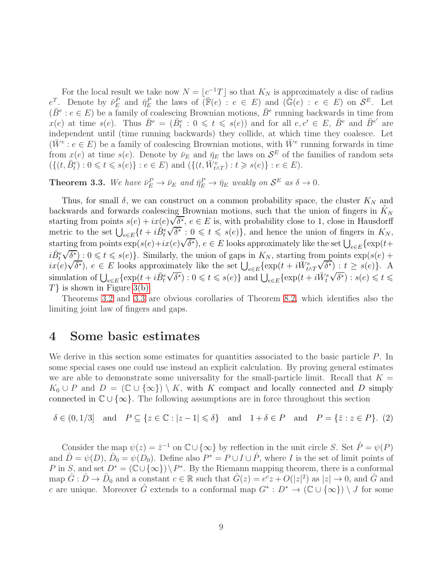For the local result we take now  $N = \lfloor c^{-1}T \rfloor$  so that  $K_N$  is approximately a disc of radius  $e^T$ . Denote by  $\bar{\nu}_E^P$  and  $\bar{\eta}_E^P$  the laws of  $(\bar{\mathbb{F}}(e) : e \in E)$  and  $(\bar{\mathbb{G}}(e) : e \in E)$  on  $\mathcal{S}^E$ . Let  $(\bar{B}^e : e \in E)$  be a family of coalescing Brownian motions,  $\bar{B}^e$  running backwards in time from  $x(e)$  at time  $s(e)$ . Thus  $\overline{B}^e = (\overline{B}^e_t : 0 \leq t \leq s(e))$  and for all  $e, e' \in E, \overline{B}^e$  and  $\overline{B}^{e'}$  are independent until (time running backwards) they collide, at which time they coalesce. Let  $(\bar{W}^e: e \in E)$  be a family of coalescing Brownian motions, with  $\bar{W}^e$  running forwards in time from  $x(e)$  at time  $s(e)$ . Denote by  $\bar{\nu}_E$  and  $\bar{\eta}_E$  the laws on  $\mathcal{S}^E$  of the families of random sets  $(\{(t, \bar{B}_t^e) : 0 \leq t \leq s(e)\} : e \in E)$  and  $(\{(t, \bar{W}_{t \wedge T}^e) : t \geq s(e)\} : e \in E)$ .

<span id="page-8-2"></span>**Theorem 3.3.** We have  $\bar{\nu}_E^P \to \bar{\nu}_E$  and  $\bar{\eta}_E^P \to \bar{\eta}_E$  weakly on  $\mathcal{S}^E$  as  $\delta \to 0$ .

Thus, for small  $\delta$ , we can construct on a common probability space, the cluster  $K_N$  and backwards and forwards coalescing Brownian motions, such that the union of fingers in  $K_N$ starting from points  $s(e) + ix(e)\sqrt{\delta^*}, e \in E$  is, with probability close to 1, close in Hausdorff metric to the set  $\bigcup_{e \in E} \{t + i\overrightarrow{B}_{t}^{e}\}\$  $\sqrt{\delta^*}$ :  $0 \le t \le s(e)$ , and hence the union of fingers in  $K_N$ , starting from points  $\exp(s(e) + ix(e)\sqrt{\delta^*})$ ,  $e \in E$  looks approximately like the set  $\bigcup_{e \in E} {\exp(t + \delta^*)}$  $i\bar{B}_t^e$  $\sqrt{\delta^*}$  :  $0 \leq t \leq s(e)$ . Similarly, the union of gaps in  $K_N$ , starting from points  $\exp(s(e) +$  $i\mathbf{x}(e)\sqrt{\delta^*}$ ,  $e \in E$  looks approximately like the set  $\bigcup_{e \in E} {\exp(t + i\overline{W}_{t \wedge T}^e)}$  $\sqrt{\delta^*}$ ) :  $t \ge s(e)$ }. A simulation of  $\bigcup_{e \in E} {\exp(t + i\bar{B}_t^e)}$  $\sqrt{\delta^*}$ ) :  $0 \leq t \leq s(e)$ } and  $\bigcup_{e \in E} {\exp(t + i\overline{W}^e_t)}$  $\sqrt{\delta^*}$ ) :  $s(e) \leq t \leq$  $T\}$  is shown in Figure [3\(b\).](#page-9-1)

Theorems [3.2](#page-7-0) and [3.3](#page-8-2) are obvious corollaries of Theorem [8.2,](#page-30-0) which identifies also the limiting joint law of fingers and gaps.

#### <span id="page-8-0"></span>4 Some basic estimates

We derive in this section some estimates for quantities associated to the basic particle  $P$ . In some special cases one could use instead an explicit calculation. By proving general estimates we are able to demonstrate some universality for the small-particle limit. Recall that  $K =$  $K_0 \cup P$  and  $D = (\mathbb{C} \cup {\infty}) \setminus K$ , with K compact and locally connected and D simply connected in  $\mathbb{C} \cup \{\infty\}$ . The following assumptions are in force throughout this section

<span id="page-8-1"></span> $\delta \in (0, 1/3]$  and  $P \subseteq \{z \in \mathbb{C} : |z - 1| \leq \delta\}$  and  $1 + \delta \in P$  and  $P = \{\bar{z} : z \in P\}$ . (2)

Consider the map  $\psi(z) = \overline{z}^{-1}$  on  $\mathbb{C} \cup \{\infty\}$  by reflection in the unit circle S. Set  $\hat{P} = \psi(P)$ and  $\hat{D} = \psi(D)$ ,  $\hat{D}_0 = \psi(D_0)$ . Define also  $P^* = P \cup I \cup \hat{P}$ , where I is the set of limit points of P in S, and set  $D^* = (\mathbb{C} \cup \{\infty\}) \setminus P^*$ . By the Riemann mapping theorem, there is a conformal map  $\hat{G}: \hat{D} \to \hat{D}_0$  and a constant  $c \in \mathbb{R}$  such that  $\hat{G}(z) = e^c z + O(|z|^2)$  as  $|z| \to 0$ , and  $\hat{G}$  and c are unique. Moreover  $\hat{G}$  extends to a conformal map  $G^* : D^* \to (\mathbb{C} \cup \{\infty\}) \setminus J$  for some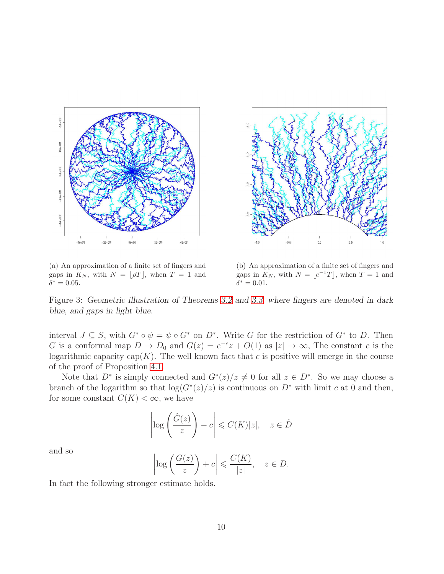<span id="page-9-0"></span>

(a) An approximation of a finite set of fingers and gaps in  $K_N$ , with  $N = \lfloor \rho T \rfloor$ , when  $T = 1$  and  $\bar{\delta}^* = 0.05$ .

<span id="page-9-1"></span>(b) An approximation of a finite set of fingers and gaps in  $K_N$ , with  $N = \lfloor c^{-1}T \rfloor$ , when  $T = 1$  and  $\bar{\delta}^* = 0.01.$ 

Figure 3: Geometric illustration of Theorems [3.2](#page-7-0) and [3.3,](#page-8-2) where fingers are denoted in dark blue, and gaps in light blue.

interval  $J \subseteq S$ , with  $G^* \circ \psi = \psi \circ G^*$  on  $D^*$ . Write G for the restriction of  $G^*$  to D. Then G is a conformal map  $D \to D_0$  and  $G(z) = e^{-c}z + O(1)$  as  $|z| \to \infty$ , The constant c is the logarithmic capacity cap( $K$ ). The well known fact that c is positive will emerge in the course of the proof of Proposition [4.1.](#page-10-0)

Note that  $D^*$  is simply connected and  $G^*(z)/z \neq 0$  for all  $z \in D^*$ . So we may choose a branch of the logarithm so that  $log(G^*(z)/z)$  is continuous on  $D^*$  with limit c at 0 and then, for some constant  $C(K) < \infty$ , we have

$$
\left|\log\left(\frac{\hat{G}(z)}{z}\right) - c\right| \leqslant C(K)|z|, \quad z \in \hat{D}
$$

and so

$$
\left|\log\left(\frac{G(z)}{z}\right)+c\right|\leqslant\frac{C(K)}{|z|}, \quad z\in D.
$$

In fact the following stronger estimate holds.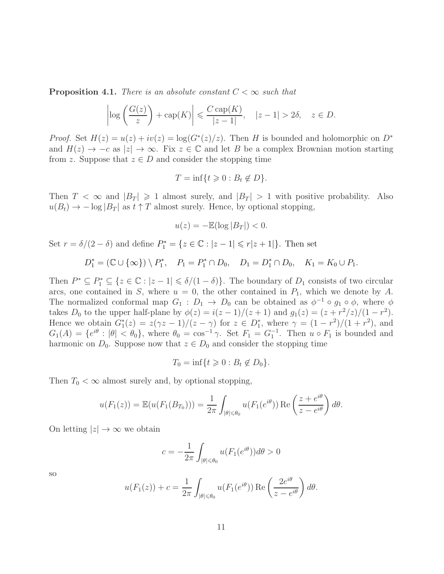<span id="page-10-0"></span>**Proposition 4.1.** *There is an absolute constant*  $C < \infty$  *such that* 

$$
\left|\log\left(\frac{G(z)}{z}\right) + \text{cap}(K)\right| \leqslant \frac{C\operatorname{cap}(K)}{|z - 1|}, \quad |z - 1| > 2\delta, \quad z \in D.
$$

*Proof.* Set  $H(z) = u(z) + iv(z) = \log(G^*(z)/z)$ . Then H is bounded and holomorphic on  $D^*$ and  $H(z) \to -c$  as  $|z| \to \infty$ . Fix  $z \in \mathbb{C}$  and let B be a complex Brownian motion starting from z. Suppose that  $z \in D$  and consider the stopping time

$$
T = \inf\{t \geq 0 : B_t \notin D\}.
$$

Then  $T < \infty$  and  $|B_T| \geq 1$  almost surely, and  $|B_T| > 1$  with positive probability. Also  $u(B_t) \rightarrow -\log |B_T|$  as  $t \uparrow T$  almost surely. Hence, by optional stopping,

$$
u(z) = -\mathbb{E}(\log |B_T|) < 0.
$$

Set  $r = \delta/(2 - \delta)$  and define  $P_1^* = \{z \in \mathbb{C} : |z - 1| \leq r |z + 1|\}.$  Then set

$$
D_1^* = (\mathbb{C} \cup \{\infty\}) \setminus P_1^*, \quad P_1 = P_1^* \cap D_0, \quad D_1 = D_1^* \cap D_0, \quad K_1 = K_0 \cup P_1.
$$

Then  $P^* \subseteq P_1^* \subseteq \{z \in \mathbb{C} : |z - 1| \le \delta/(1 - \delta)\}\.$  The boundary of  $D_1$  consists of two circular arcs, one contained in S, where  $u = 0$ , the other contained in  $P_1$ , which we denote by A. The normalized conformal map  $G_1 : D_1 \to D_0$  can be obtained as  $\phi^{-1} \circ g_1 \circ \phi$ , where  $\phi$ takes  $D_0$  to the upper half-plane by  $\phi(z) = i(z-1)/(z+1)$  and  $g_1(z) = (z + r^2/z)/(1-r^2)$ . Hence we obtain  $G_1^*(z) = z(\gamma z - 1)/(z - \gamma)$  for  $z \in D_1^*$ , where  $\gamma = (1 - r^2)/(1 + r^2)$ , and  $G_1(A) = \{e^{i\theta} : |\theta| < \theta_0\}$ , where  $\theta_0 = \cos^{-1}\gamma$ . Set  $F_1 = G_1^{-1}$ . Then  $u \circ F_1$  is bounded and harmonic on  $D_0$ . Suppose now that  $z \in D_0$  and consider the stopping time

$$
T_0 = \inf\{t \geq 0 : B_t \notin D_0\}.
$$

Then  $T_0 < \infty$  almost surely and, by optional stopping,

$$
u(F_1(z)) = \mathbb{E}(u(F_1(B_{T_0}))) = \frac{1}{2\pi} \int_{|\theta| \le \theta_0} u(F_1(e^{i\theta})) \operatorname{Re}\left(\frac{z + e^{i\theta}}{z - e^{i\theta}}\right) d\theta.
$$

On letting  $|z| \to \infty$  we obtain

$$
c = -\frac{1}{2\pi} \int_{|\theta| \le \theta_0} u(F_1(e^{i\theta})) d\theta > 0
$$

so

$$
u(F_1(z)) + c = \frac{1}{2\pi} \int_{|\theta| \le \theta_0} u(F_1(e^{i\theta})) \operatorname{Re} \left( \frac{2e^{i\theta}}{z - e^{i\theta}} \right) d\theta.
$$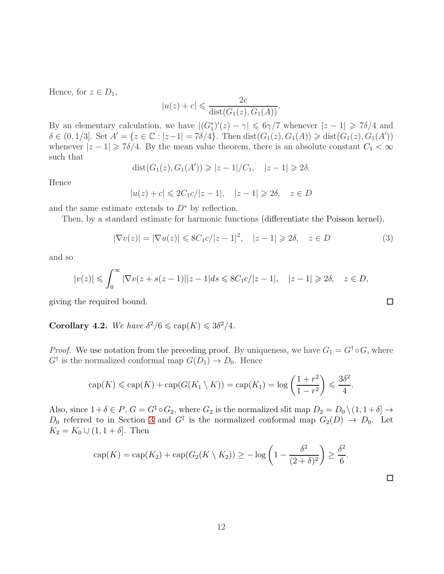Hence, for  $z \in D_1$ ,

$$
|u(z) + c| \leqslant \frac{2c}{\text{dist}(G_1(z), G_1(A))}.
$$

By an elementary calculation, we have  $|(G_1^*)'(z) - \gamma| \leq 6\gamma/7$  whenever  $|z - 1| \geq 7\delta/4$  and  $\delta \in (0, 1/3]$ . Set  $A' = \{z \in \mathbb{C} : |z-1| = 7\delta/4\}$ . Then  $dist(G_1(z), G_1(A)) \geq dist(G_1(z), G_1(A'))$ whenever  $|z - 1| \ge 7\delta/4$ . By the mean value theorem, there is an absolute constant  $C_1 < \infty$ such that

$$
dist(G_1(z), G_1(A')) \geqslant |z - 1| / C_1, \quad |z - 1| \geqslant 2\delta.
$$

Hence

$$
|u(z) + c| \leq 2C_1c/|z - 1|, \quad |z - 1| \geq 2\delta, \quad z \in D
$$

and the same estimate extends to  $D^*$  by reflection.

Then, by a standard estimate for harmonic functions (differentiate the Poisson kernel),

<span id="page-11-0"></span>
$$
|\nabla v(z)| = |\nabla u(z)| \leq 8C_1c/|z - 1|^2, \quad |z - 1| \geq 2\delta, \quad z \in D
$$
 (3)

 $\Box$ 

and so

$$
|v(z)| \leq \int_0^\infty |\nabla v(z + s(z-1)||z - 1| ds \leq 8C_1c/|z - 1|, \quad |z - 1| \geq 2\delta, \quad z \in D,
$$

giving the required bound.

<span id="page-11-1"></span>**Corollary 4.2.** We have  $\delta^2/6 \leqslant \text{cap}(K) \leqslant 3\delta^2/4$ .

*Proof.* We use notation from the preceding proof. By uniqueness, we have  $G_1 = G^{\dagger} \circ G$ , where  $G^{\dagger}$  is the normalized conformal map  $G(D_1) \to D_0$ . Hence

$$
\operatorname{cap}(K) \leqslant \operatorname{cap}(K) + \operatorname{cap}(G(K_1 \setminus K)) = \operatorname{cap}(K_1) = \log\left(\frac{1+r^2}{1-r^2}\right) \leqslant \frac{3\delta^2}{4}.
$$

Also, since  $1+\delta \in P$ ,  $G = G^{\ddagger} \circ G_2$ , where  $G_2$  is the normalized slit map  $D_2 = D_0 \setminus (1, 1+\delta] \rightarrow$  $D_0$  referred to in Section [3](#page-3-0) and  $G^{\ddagger}$  is the normalized conformal map  $G_2(D) \rightarrow D_0$ . Let  $K_2 = K_0 \cup (1, 1 + \delta]$ . Then

$$
\operatorname{cap}(K) = \operatorname{cap}(K_2) + \operatorname{cap}(G_2(K \setminus K_2)) \ge -\log\left(1 - \frac{\delta^2}{(2+\delta)^2}\right) \ge \frac{\delta^2}{6}.
$$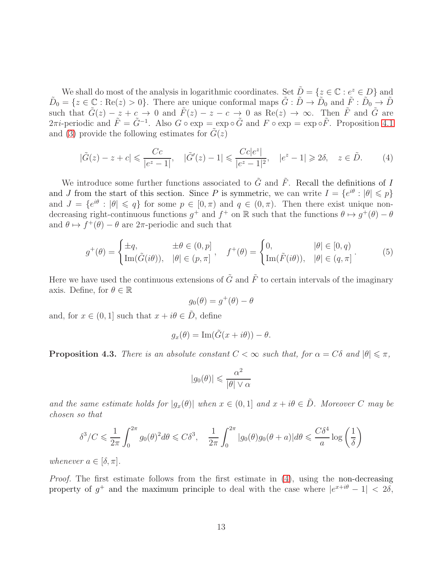We shall do most of the analysis in logarithmic coordinates. Set  $\tilde{D} = \{z \in \mathbb{C} : e^z \in D\}$  and  $\tilde{D}_0 = \{z \in \mathbb{C} : \text{Re}(z) > 0\}$ . There are unique conformal maps  $\tilde{G} : \tilde{D} \to \tilde{D}_0$  and  $\tilde{F} : \tilde{D}_0 \to \tilde{D}$ such that  $\tilde{G}(z) - z + c \rightarrow 0$  and  $\tilde{F}(z) - z - c \rightarrow 0$  as  $\text{Re}(z) \rightarrow \infty$ . Then  $\tilde{F}$  and  $\tilde{G}$  are 2πi-periodic and  $\tilde{F} = \tilde{G}^{-1}$ . Also  $G \circ \exp = \exp \circ \tilde{G}$  and  $F \circ \exp = \exp \circ \tilde{F}$ . Proposition [4.1](#page-10-0) and [\(3\)](#page-11-0) provide the following estimates for  $\tilde{G}(z)$ 

<span id="page-12-1"></span>
$$
|\tilde{G}(z) - z + c| \leq \frac{Cc}{|e^z - 1|}, \quad |\tilde{G}'(z) - 1| \leq \frac{Cc|e^z|}{|e^z - 1|^2}, \quad |e^z - 1| \geq 2\delta, \quad z \in \tilde{D}.
$$
 (4)

We introduce some further functions associated to  $\tilde{G}$  and  $\tilde{F}$ . Recall the definitions of I and J from the start of this section. Since P is symmetric, we can write  $I = \{e^{i\theta} : |\theta| \leq p\}$ and  $J = \{e^{i\theta} : |\theta| \leq q\}$  for some  $p \in [0, \pi)$  and  $q \in (0, \pi)$ . Then there exist unique nondecreasing right-continuous functions  $g^+$  and  $f^+$  on R such that the functions  $\theta \mapsto g^+(\theta) - \theta$ and  $\theta \mapsto f^+(\theta) - \theta$  are 2 $\pi$ -periodic and such that

<span id="page-12-2"></span>
$$
g^+(\theta) = \begin{cases} \pm q, & \pm \theta \in (0, p] \\ \text{Im}(\tilde{G}(i\theta)), & |\theta| \in (p, \pi] \end{cases}, \quad f^+(\theta) = \begin{cases} 0, & |\theta| \in [0, q) \\ \text{Im}(\tilde{F}(i\theta)), & |\theta| \in (q, \pi] \end{cases}.
$$
 (5)

Here we have used the continuous extensions of  $\tilde{G}$  and  $\tilde{F}$  to certain intervals of the imaginary axis. Define, for  $\theta \in \mathbb{R}$ 

$$
g_0(\theta) = g^+(\theta) - \theta
$$

and, for  $x \in (0, 1]$  such that  $x + i\theta \in \tilde{D}$ , define

$$
g_x(\theta) = \operatorname{Im}(\tilde{G}(x + i\theta)) - \theta.
$$

<span id="page-12-0"></span>**Proposition 4.3.** *There is an absolute constant*  $C < \infty$  *such that, for*  $\alpha = C\delta$  *and*  $|\theta| \leq \pi$ *,* 

$$
|g_0(\theta)| \leqslant \frac{\alpha^2}{|\theta| \vee \alpha}
$$

*and the same estimate holds for*  $|g_x(\theta)|$  *when*  $x \in (0,1]$  *and*  $x + i\theta \in \overline{D}$ *. Moreover* C *may be chosen so that*

$$
\delta^3/C \leq \frac{1}{2\pi} \int_0^{2\pi} g_0(\theta)^2 d\theta \leq C\delta^3, \quad \frac{1}{2\pi} \int_0^{2\pi} |g_0(\theta)g_0(\theta + a)| d\theta \leq \frac{C\delta^4}{a} \log\left(\frac{1}{\delta}\right)
$$

*whenever*  $a \in [\delta, \pi]$ *.* 

*Proof.* The first estimate follows from the first estimate in  $(4)$ , using the non-decreasing property of  $g^+$  and the maximum principle to deal with the case where  $|e^{x+i\theta} - 1| < 2\delta$ ,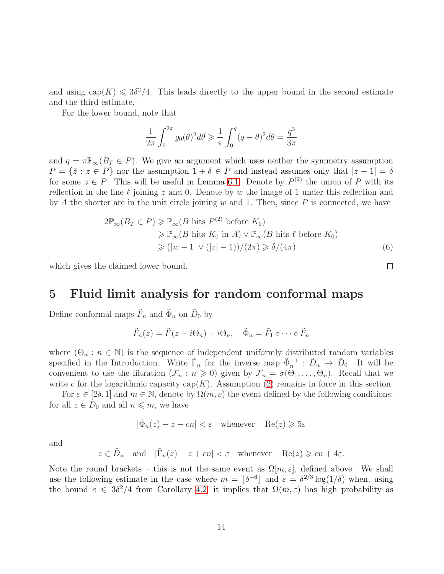and using  $cap(K) \leq 3\delta^2/4$ . This leads directly to the upper bound in the second estimate and the third estimate.

For the lower bound, note that

$$
\frac{1}{2\pi} \int_0^{2\pi} g_0(\theta)^2 d\theta \ge \frac{1}{\pi} \int_0^q (q - \theta)^2 d\theta = \frac{q^3}{3\pi}
$$

and  $q = \pi \mathbb{P}_{\infty}(B_T \in P)$ . We give an argument which uses neither the symmetry assumption  $P = \{\bar{z} : z \in P\}$  nor the assumption  $1 + \delta \in P$  and instead assumes only that  $|z - 1| = \delta$ for some  $z \in P$ . This will be useful in Lemma [6.1.](#page-17-2) Denote by  $P^{(2)}$  the union of P with its reflection in the line  $\ell$  joining z and 0. Denote by w the image of 1 under this reflection and by A the shorter arc in the unit circle joining  $w$  and 1. Then, since  $P$  is connected, we have

$$
2\mathbb{P}_{\infty}(B_T \in P) \geq \mathbb{P}_{\infty}(B \text{ hits } P^{(2)} \text{ before } K_0)
$$
  
\n
$$
\geq \mathbb{P}_{\infty}(B \text{ hits } K_0 \text{ in } A) \vee \mathbb{P}_{\infty}(B \text{ hits } \ell \text{ before } K_0)
$$
  
\n
$$
\geq (\vert w - 1 \vert \vee (\vert z \vert - 1))/(2\pi) \geq \delta/(4\pi)
$$
 (6)

<span id="page-13-0"></span>which gives the claimed lower bound.

#### 5 Fluid limit analysis for random conformal maps

Define conformal maps  $\tilde{F}_n$  and  $\tilde{\Phi}_n$  on  $\tilde{D}_0$  by

$$
\tilde{F}_n(z) = \tilde{F}(z - i\Theta_n) + i\Theta_n, \quad \tilde{\Phi}_n = \tilde{F}_1 \circ \cdots \circ \tilde{F}_n
$$

where  $(\Theta_n : n \in \mathbb{N})$  is the sequence of independent uniformly distributed random variables specified in the Introduction. Write  $\tilde{\Gamma}_n$  for the inverse map  $\tilde{\Phi}_n^{-1}$ :  $\tilde{D}_n \to \tilde{D}_0$ . It will be convenient to use the filtration  $(\mathcal{F}_n : n \geq 0)$  given by  $\mathcal{F}_n = \sigma(\Theta_1, \ldots, \Theta_n)$ . Recall that we write c for the logarithmic capacity cap( $K$ ). Assumption [\(2\)](#page-8-1) remains in force in this section.

For  $\varepsilon \in [2\delta, 1]$  and  $m \in \mathbb{N}$ , denote by  $\Omega(m, \varepsilon)$  the event defined by the following conditions: for all  $z \in \tilde{D}_0$  and all  $n \leq m$ , we have

$$
|\tilde{\Phi}_n(z) - z - cn| < \varepsilon \quad \text{whenever} \quad \text{Re}(z) \geqslant 5\varepsilon
$$

and

$$
z \in \tilde{D}_n
$$
 and  $|\tilde{\Gamma}_n(z) - z + cn| < \varepsilon$  whenever  $\text{Re}(z) \geq cn + 4\varepsilon$ .

Note the round brackets – this is not the same event as  $\Omega[m,\varepsilon]$ , defined above. We shall use the following estimate in the case where  $m = \lfloor \delta^{-6} \rfloor$  and  $\varepsilon = \delta^{2/3} \log(1/\delta)$  when, using the bound  $c \leq 3\delta^2/4$  from Corollary [4.2,](#page-11-1) it implies that  $\Omega(m,\varepsilon)$  has high probability as

<span id="page-13-1"></span> $\Box$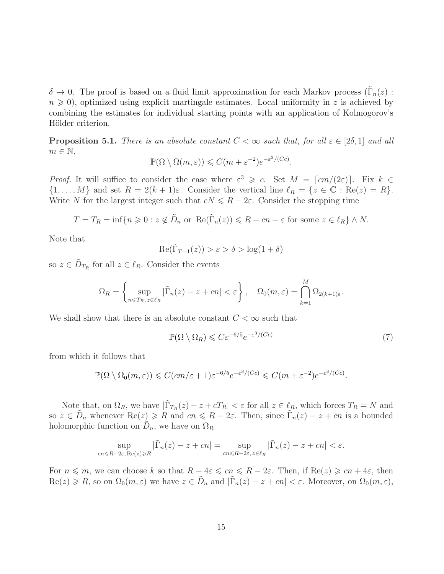$\delta \to 0$ . The proof is based on a fluid limit approximation for each Markov process ( $\tilde{\Gamma}_n(z)$ ):  $n \geq 0$ , optimized using explicit martingale estimates. Local uniformity in z is achieved by combining the estimates for individual starting points with an application of Kolmogorov's Hölder criterion.

<span id="page-14-1"></span>**Proposition 5.1.** *There is an absolute constant*  $C < \infty$  *such that, for all*  $\varepsilon \in [2\delta, 1]$  *and all*  $m \in \mathbb{N}$ ,

$$
\mathbb{P}(\Omega \setminus \Omega(m,\varepsilon)) \leqslant C(m+\varepsilon^{-2})e^{-\varepsilon^{3}/(Cc)}.
$$

*Proof.* It will suffice to consider the case where  $\varepsilon^3 \geqslant c$ . Set  $M = \lceil cm/(2\varepsilon) \rceil$ . Fix  $k \in \mathbb{R}$  $\{1,\ldots,M\}$  and set  $R = 2(k+1)\varepsilon$ . Consider the vertical line  $\ell_R = \{z \in \mathbb{C} : \text{Re}(z) = R\}.$ Write N for the largest integer such that  $cN \le R - 2\varepsilon$ . Consider the stopping time

$$
T = T_R = \inf\{n \geq 0 : z \notin \tilde{D}_n \text{ or } \operatorname{Re}(\tilde{\Gamma}_n(z)) \leq R - cn - \varepsilon \text{ for some } z \in \ell_R\} \wedge N.
$$

Note that

$$
\operatorname{Re}(\tilde{\Gamma}_{T-1}(z)) > \varepsilon > \delta > \log(1+\delta)
$$

so  $z \in \tilde{D}_{T_R}$  for all  $z \in \ell_R$ . Consider the events

$$
\Omega_R = \left\{ \sup_{n \leq T_R, \, z \in \ell_R} |\tilde{\Gamma}_n(z) - z + cn| < \varepsilon \right\}, \quad \Omega_0(m, \varepsilon) = \bigcap_{k=1}^M \Omega_{2(k+1)\varepsilon}.
$$

We shall show that there is an absolute constant  $C < \infty$  such that

<span id="page-14-0"></span>
$$
\mathbb{P}(\Omega \setminus \Omega_R) \leqslant C \varepsilon^{-6/5} e^{-\varepsilon^3/(Cc)} \tag{7}
$$

from which it follows that

$$
\mathbb{P}(\Omega \setminus \Omega_0(m,\varepsilon)) \leqslant C(cm/\varepsilon + 1)\varepsilon^{-6/5}e^{-\varepsilon^3/(Cc)} \leqslant C(m + \varepsilon^{-2})e^{-\varepsilon^3/(Cc)}.
$$

Note that, on  $\Omega_R$ , we have  $|\tilde{\Gamma}_{T_R}(z) - z + cT_R| < \varepsilon$  for all  $z \in \ell_R$ , which forces  $T_R = N$  and so  $z \in \tilde{D}_n$  whenever  $\text{Re}(z) \ge R$  and  $cn \le R - 2\varepsilon$ . Then, since  $\tilde{\Gamma}_n(z) - z + cn$  is a bounded holomorphic function on  $\tilde{D}_n$ , we have on  $\Omega_R$ 

$$
\sup_{cn \le R-2\varepsilon, \text{Re}(z) \ge R} |\tilde{\Gamma}_n(z) - z + cn| = \sup_{cn \le R-2\varepsilon, z \in \ell_R} |\tilde{\Gamma}_n(z) - z + cn| < \varepsilon.
$$

For  $n \leq m$ , we can choose k so that  $R - 4\varepsilon \leqslant cn \leqslant R - 2\varepsilon$ . Then, if  $\text{Re}(z) \geqslant cn + 4\varepsilon$ , then  $\text{Re}(z) \geqslant R$ , so on  $\Omega_0(m,\varepsilon)$  we have  $z \in \tilde{D}_n$  and  $|\tilde{\Gamma}_n(z) - z + cn| < \varepsilon$ . Moreover, on  $\Omega_0(m,\varepsilon)$ ,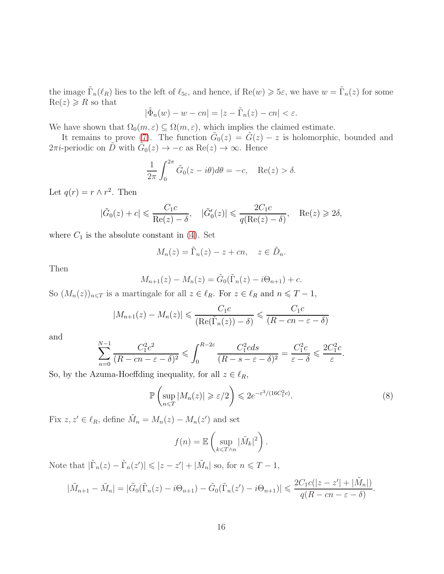the image  $\tilde{\Gamma}_n(\ell_R)$  lies to the left of  $\ell_{5\varepsilon}$ , and hence, if  $\text{Re}(w) \geqslant 5\varepsilon$ , we have  $w = \tilde{\Gamma}_n(z)$  for some  $Re(z) \ge R$  so that

$$
|\tilde{\Phi}_n(w) - w - cn| = |z - \tilde{\Gamma}_n(z) - cn| < \varepsilon.
$$

We have shown that  $\Omega_0(m,\varepsilon) \subseteq \Omega(m,\varepsilon)$ , which implies the claimed estimate.

It remains to prove  $(7)$ . The function  $\tilde{G}_0(z) = \tilde{G}(z) - z$  is holomorphic, bounded and 2π*i*-periodic on  $\tilde{D}$  with  $\tilde{G}_0(z) \to -c$  as  $\text{Re}(z) \to \infty$ . Hence

$$
\frac{1}{2\pi} \int_0^{2\pi} \tilde{G}_0(z - i\theta) d\theta = -c, \quad \text{Re}(z) > \delta.
$$

Let  $q(r) = r \wedge r^2$ . Then

$$
|\tilde{G}_0(z) + c| \leqslant \frac{C_1 c}{\text{Re}(z) - \delta}, \quad |\tilde{G}'_0(z)| \leqslant \frac{2C_1 c}{q(\text{Re}(z) - \delta)}, \quad \text{Re}(z) \geqslant 2\delta,
$$

where  $C_1$  is the absolute constant in [\(4\)](#page-12-1). Set

$$
M_n(z) = \tilde{\Gamma}_n(z) - z + cn, \quad z \in \tilde{D}_n.
$$

Then

$$
M_{n+1}(z) - M_n(z) = \tilde{G}_0(\tilde{\Gamma}_n(z) - i\Theta_{n+1}) + c.
$$

So  $(M_n(z))_{n\leq T}$  is a martingale for all  $z \in \ell_R$ . For  $z \in \ell_R$  and  $n \leq T-1$ ,

$$
|M_{n+1}(z) - M_n(z)| \leqslant \frac{C_1 c}{\left(\text{Re}(\tilde{\Gamma}_n(z)) - \delta\right)} \leqslant \frac{C_1 c}{\left(R - c n - \varepsilon - \delta\right)}
$$

and

$$
\sum_{n=0}^{N-1} \frac{C_1^2 c^2}{(R - cn - \varepsilon - \delta)^2} \leqslant \int_0^{R-2\varepsilon} \frac{C_1^2 c ds}{(R - s - \varepsilon - \delta)^2} = \frac{C_1^2 c}{\varepsilon - \delta} \leqslant \frac{2C_1^2 c}{\varepsilon}.
$$

So, by the Azuma-Hoeffding inequality, for all  $z \in \ell_R$ ,

<span id="page-15-0"></span>
$$
\mathbb{P}\left(\sup_{n\leq T}|M_n(z)|\geq \varepsilon/2\right)\leqslant 2e^{-\varepsilon^3/(16C_1^2c)}.\tag{8}
$$

Fix  $z, z' \in \ell_R$ , define  $\tilde{M}_n = M_n(z) - M_n(z')$  and set

$$
f(n) = \mathbb{E}\left(\sup_{k \leq T \wedge n} |\tilde{M}_k|^2\right).
$$

Note that  $|\tilde{\Gamma}_n(z) - \tilde{\Gamma}_n(z')| \leq |z - z'| + |\tilde{M}_n|$  so, for  $n \leq T - 1$ ,

$$
|\tilde{M}_{n+1}-\tilde{M}_n|=|\tilde{G}_0(\tilde{\Gamma}_n(z)-i\Theta_{n+1})-\tilde{G}_0(\tilde{\Gamma}_n(z')-i\Theta_{n+1})|\leqslant \frac{2C_1c(|z-z'|+|\tilde{M}_n|)}{q(R-cn-\varepsilon-\delta)}.
$$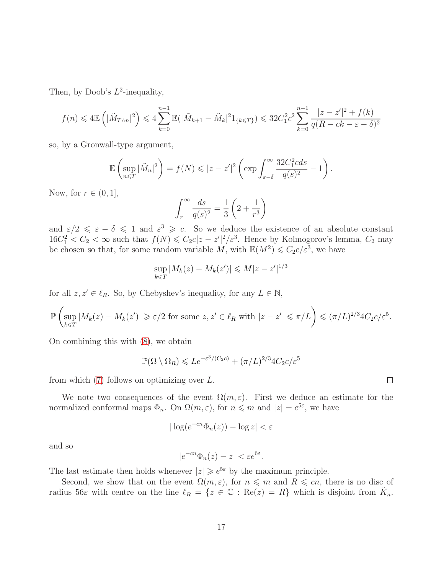Then, by Doob's  $L^2$ -inequality,

$$
f(n) \leq 4 \mathbb{E}\left(|\tilde{M}_{T \wedge n}|^2\right) \leq 4 \sum_{k=0}^{n-1} \mathbb{E}(|\tilde{M}_{k+1} - \tilde{M}_k|^2 1_{\{k \leq T\}}) \leq 32C_1^2 c^2 \sum_{k=0}^{n-1} \frac{|z - z'|^2 + f(k)}{q(R - ck - \varepsilon - \delta)^2}
$$

so, by a Gronwall-type argument,

$$
\mathbb{E}\left(\sup_{n\leq T}|\tilde{M}_n|^2\right) = f(N) \leqslant |z-z'|^2 \left(\exp \int_{\varepsilon-\delta}^{\infty} \frac{32C_1^2 c ds}{q(s)^2} - 1\right).
$$

Now, for  $r \in (0, 1]$ ,

$$
\int_r^{\infty} \frac{ds}{q(s)^2} = \frac{1}{3} \left( 2 + \frac{1}{r^3} \right)
$$

and  $\varepsilon/2 \leq \varepsilon - \delta \leq 1$  and  $\varepsilon^3 \geq c$ . So we deduce the existence of an absolute constant  $16C_1^2 < C_2 < \infty$  such that  $f(N) \leq C_2c|z-z'|^2/\varepsilon^3$ . Hence by Kolmogorov's lemma,  $C_2$  may be chosen so that, for some random variable M, with  $\mathbb{E}(M^2) \leqslant C_2 c / \varepsilon^3$ , we have

$$
\sup_{k \leq T} |M_k(z) - M_k(z')| \leq M |z - z'|^{1/3}
$$

for all  $z, z' \in \ell_R$ . So, by Chebyshev's inequality, for any  $L \in \mathbb{N}$ ,

$$
\mathbb{P}\left(\sup_{k\leq T}|M_k(z)-M_k(z')|\geq \varepsilon/2\text{ for some }z,z'\in\ell_R\text{ with }|z-z'|\leqslant \pi/L\right)\leqslant (\pi/L)^{2/3}4C_2c/\varepsilon^5.
$$

On combining this with [\(8\)](#page-15-0), we obtain

$$
\mathbb{P}(\Omega \setminus \Omega_R) \leqslant Le^{-\varepsilon^3/(C_2 c)} + (\pi/L)^{2/3} 4C_2 c/\varepsilon^5
$$

from which  $(7)$  follows on optimizing over L.

We note two consequences of the event  $\Omega(m,\varepsilon)$ . First we deduce an estimate for the normalized conformal maps  $\Phi_n$ . On  $\Omega(m,\varepsilon)$ , for  $n \leq m$  and  $|z| = e^{5\varepsilon}$ , we have

$$
|\log(e^{-cn}\Phi_n(z)) - \log z| < \varepsilon
$$

and so

$$
|e^{-cn}\Phi_n(z)-z|<\varepsilon e^{6\varepsilon}.
$$

The last estimate then holds whenever  $|z| \ge e^{5\varepsilon}$  by the maximum principle.

Second, we show that on the event  $\Omega(m,\varepsilon)$ , for  $n \leq m$  and  $R \leq c_n$ , there is no disc of radius 56 $\varepsilon$  with centre on the line  $\ell_R = \{z \in \mathbb{C} : \text{Re}(z) = R\}$  which is disjoint from  $\tilde{K}_n$ .

 $\Box$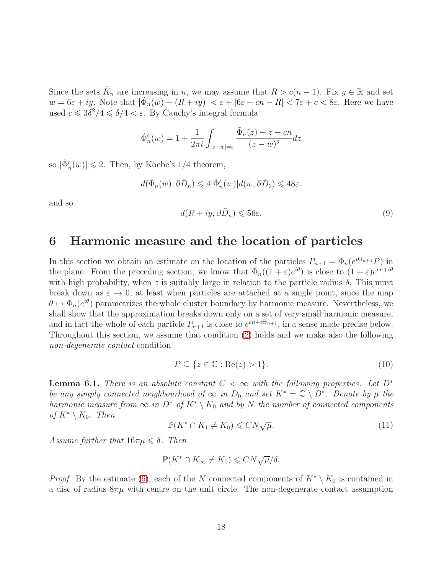Since the sets  $\tilde{K}_n$  are increasing in n, we may assume that  $R > c(n-1)$ . Fix  $y \in \mathbb{R}$  and set  $w = 6\varepsilon + iy$ . Note that  $|\tilde{\Phi}_n(w) - (R + iy)| < \varepsilon + |6\varepsilon + cn - R| < 7\varepsilon + c < 8\varepsilon$ . Here we have used  $c \leq 3\delta^2/4 \leq \delta/4 < \varepsilon$ . By Cauchy's integral formula

$$
\tilde{\Phi}'_n(w) = 1 + \frac{1}{2\pi i} \int_{|z-w|=\varepsilon} \frac{\tilde{\Phi}_n(z) - z - cn}{(z-w)^2} dz
$$

so  $|\tilde{\Phi}'_n(w)| \leq 2$ . Then, by Koebe's 1/4 theorem,

$$
d(\tilde{\Phi}_n(w), \partial \tilde{D}_n) \leq 4|\tilde{\Phi}'_n(w)|d(w, \partial \tilde{D}_0) \leq 48\varepsilon.
$$

and so

<span id="page-17-4"></span>
$$
d(R + iy, \partial \tilde{D}_n) \leqslant 56\varepsilon. \tag{9}
$$

#### <span id="page-17-0"></span>6 Harmonic measure and the location of particles

In this section we obtain an estimate on the location of the particles  $P_{n+1} = \Phi_n(e^{i\Theta_{n+1}}P)$  in the plane. From the preceding section, we know that  $\Phi_n((1+\varepsilon)e^{i\theta})$  is close to  $(1+\varepsilon)e^{cn+i\theta}$ with high probability, when  $\varepsilon$  is suitably large in relation to the particle radius  $\delta$ . This must break down as  $\varepsilon \to 0$ , at least when particles are attached at a single point, since the map  $\theta \mapsto \Phi_n(e^{i\theta})$  parametrizes the whole cluster boundary by harmonic measure. Nevertheless, we shall show that the approximation breaks down only on a set of very small harmonic measure, and in fact the whole of each particle  $P_{n+1}$  is close to  $e^{cn+i\Theta_{n+1}}$ , in a sense made precise below. Throughout this section, we assume that condition [\(2\)](#page-8-1) holds and we make also the following *non-degenerate contact* condition

<span id="page-17-1"></span>
$$
P \subseteq \{ z \in \mathbb{C} : \text{Re}(z) > 1 \}. \tag{10}
$$

<span id="page-17-2"></span>**Lemma 6.1.** *There is an absolute constant*  $C < \infty$  *with the following properties. Let*  $D^*$ *be any simply connected neighbourhood of*  $\infty$  *in*  $D_0$  *and set*  $K^* = \mathbb{C} \setminus D^*$ *. Denote by*  $\mu$  *the harmonic measure from*  $\infty$  *in*  $D^*$  *of*  $K^* \setminus K_0$  *and by* N *the number of connected components of*  $K^* \setminus K_0$ . Then

<span id="page-17-3"></span>
$$
\mathbb{P}(K^* \cap K_1 \neq K_0) \leqslant C N \sqrt{\mu}.
$$
\n(11)

*Assume further that*  $16\pi\mu \leq \delta$ . *Then* 

$$
\mathbb{P}(K^* \cap K_\infty \neq K_0) \leqslant C N \sqrt{\mu}/\delta.
$$

*Proof.* By the estimate [\(6\)](#page-13-1), each of the N connected components of  $K^* \setminus K_0$  is contained in a disc of radius  $8\pi\mu$  with centre on the unit circle. The non-degenerate contact assumption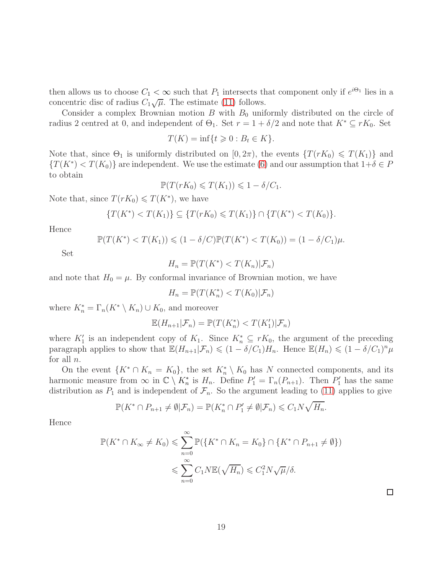then allows us to choose  $C_1 < \infty$  such that  $P_1$  intersects that component only if  $e^{i\Theta_1}$  lies in a concentric disc of radius  $C_1\sqrt{\mu}$ . The estimate [\(11\)](#page-17-3) follows.

Consider a complex Brownian motion  $B$  with  $B_0$  uniformly distributed on the circle of radius 2 centred at 0, and independent of  $\Theta_1$ . Set  $r = 1 + \delta/2$  and note that  $K^* \subseteq rK_0$ . Set

$$
T(K) = \inf\{t \geq 0 : B_t \in K\}.
$$

Note that, since  $\Theta_1$  is uniformly distributed on  $[0, 2\pi)$ , the events  $\{T(rK_0) \leq T(K_1)\}\$  and  ${T(K^*) < T(K_0)}$  are independent. We use the estimate [\(6\)](#page-13-1) and our assumption that  $1+\delta \in P$ to obtain

$$
\mathbb{P}(T(rK_0)\leqslant T(K_1))\leqslant 1-\delta/C_1.
$$

Note that, since  $T(rK_0) \leq T(K^*)$ , we have

$$
\{T(K^*) < T(K_1)\} \subseteq \{T(rK_0) \leq T(K_1)\} \cap \{T(K^*) < T(K_0)\}.
$$

Hence

$$
\mathbb{P}(T(K^*) < T(K_1)) \leq (1 - \delta/C)\mathbb{P}(T(K^*) < T(K_0)) = (1 - \delta/C_1)\mu.
$$

Set

$$
H_n = \mathbb{P}(T(K^*) < T(K_n)|\mathcal{F}_n)
$$

and note that  $H_0 = \mu$ . By conformal invariance of Brownian motion, we have

$$
H_n = \mathbb{P}(T(K_n^*) < T(K_0)|\mathcal{F}_n)
$$

where  $K_n^* = \Gamma_n(K^* \setminus K_n) \cup K_0$ , and moreover

$$
\mathbb{E}(H_{n+1}|\mathcal{F}_n) = \mathbb{P}(T(K_n^*) < T(K_1')|\mathcal{F}_n)
$$

where  $K'_1$  is an independent copy of  $K_1$ . Since  $K_n^* \subseteq rK_0$ , the argument of the preceding paragraph applies to show that  $\mathbb{E}(H_{n+1}|\mathcal{F}_n) \leq (1 - \delta/C_1)H_n$ . Hence  $\mathbb{E}(H_n) \leq (1 - \delta/C_1)^n \mu$ for all  $n$ .

On the event  $\{K^*\cap K_n = K_0\}$ , the set  $K_n^*\setminus K_0$  has N connected components, and its harmonic measure from  $\infty$  in  $\mathbb{C} \setminus K_n^*$  is  $H_n$ . Define  $P'_1 = \Gamma_n(P_{n+1})$ . Then  $P'_1$  has the same distribution as  $P_1$  and is independent of  $\mathcal{F}_n$ . So the argument leading to [\(11\)](#page-17-3) applies to give

$$
\mathbb{P}(K^* \cap P_{n+1} \neq \emptyset | \mathcal{F}_n) = \mathbb{P}(K_n^* \cap P_1' \neq \emptyset | \mathcal{F}_n) \leq C_1 N \sqrt{H_n}.
$$

Hence

$$
\mathbb{P}(K^* \cap K_\infty \neq K_0) \leqslant \sum_{n=0}^{\infty} \mathbb{P}(\lbrace K^* \cap K_n = K_0 \rbrace \cap \lbrace K^* \cap P_{n+1} \neq \emptyset \rbrace)
$$

$$
\leqslant \sum_{n=0}^{\infty} C_1 N \mathbb{E}(\sqrt{H_n}) \leqslant C_1^2 N \sqrt{\mu} / \delta.
$$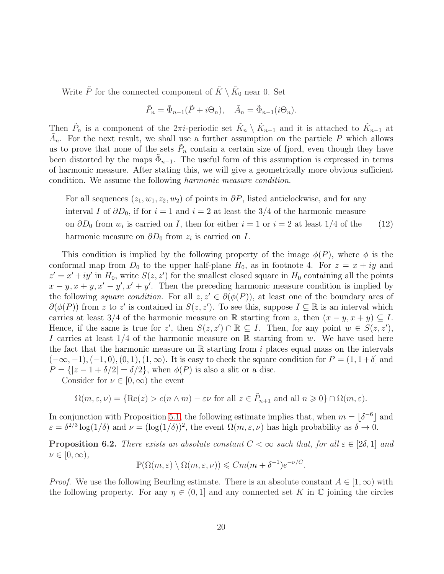Write  $\tilde{P}$  for the connected component of  $\tilde{K} \setminus \tilde{K}_0$  near 0. Set

<span id="page-19-0"></span>
$$
\tilde{P}_n = \tilde{\Phi}_{n-1}(\tilde{P} + i\Theta_n), \quad \tilde{A}_n = \tilde{\Phi}_{n-1}(i\Theta_n).
$$

Then  $\tilde{P}_n$  is a component of the  $2\pi i$ -periodic set  $\tilde{K}_n \setminus \tilde{K}_{n-1}$  and it is attached to  $\tilde{K}_{n-1}$  at  $\tilde{A}_n$ . For the next result, we shall use a further assumption on the particle P which allows us to prove that none of the sets  $\tilde{P}_n$  contain a certain size of fjord, even though they have been distorted by the maps  $\tilde{\Phi}_{n-1}$ . The useful form of this assumption is expressed in terms of harmonic measure. After stating this, we will give a geometrically more obvious sufficient condition. We assume the following *harmonic measure condition*.

For all sequences  $(z_1, w_1, z_2, w_2)$  of points in  $\partial P$ , listed anticlockwise, and for any interval I of  $\partial D_0$ , if for  $i = 1$  and  $i = 2$  at least the 3/4 of the harmonic measure on  $\partial D_0$  from  $w_i$  is carried on I, then for either  $i = 1$  or  $i = 2$  at least  $1/4$  of the (12) harmonic measure on  $\partial D_0$  from  $z_i$  is carried on  $I$ .

This condition is implied by the following property of the image  $\phi(P)$ , where  $\phi$  is the conformal map from  $D_0$  to the upper half-plane  $H_0$ , as in footnote 4. For  $z = x + iy$  and  $z' = x' + iy'$  in  $H_0$ , write  $S(z, z')$  for the smallest closed square in  $H_0$  containing all the points  $x - y$ ,  $x + y$ ,  $x' - y'$ ,  $x' + y'$ . Then the preceding harmonic measure condition is implied by the following *square condition*. For all  $z, z' \in \partial(\phi(P))$ , at least one of the boundary arcs of  $\partial(\phi(P))$  from z to z' is contained in  $S(z, z')$ . To see this, suppose  $I \subseteq \mathbb{R}$  is an interval which carries at least 3/4 of the harmonic measure on R starting from z, then  $(x - y, x + y) \subseteq I$ . Hence, if the same is true for z', then  $S(z, z') \cap \mathbb{R} \subseteq I$ . Then, for any point  $w \in S(z, z')$ , I carries at least  $1/4$  of the harmonic measure on R starting from w. We have used here the fact that the harmonic measure on  $\mathbb R$  starting from i places equal mass on the intervals  $(-\infty, -1), (-1, 0), (0, 1), (1, \infty)$ . It is easy to check the square condition for  $P = (1, 1+\delta]$  and  $P = \{ |z - 1 + \delta/2| = \delta/2 \},\$  when  $\phi(P)$  is also a slit or a disc.

Consider for  $\nu \in [0,\infty)$  the event

$$
\Omega(m,\varepsilon,\nu) = \{ \text{Re}(z) > c(n \wedge m) - \varepsilon \nu \text{ for all } z \in \tilde{P}_{n+1} \text{ and all } n \geq 0 \} \cap \Omega(m,\varepsilon).
$$

In conjunction with Proposition [5.1,](#page-14-1) the following estimate implies that, when  $m = \lfloor \delta^{-6} \rfloor$  and  $\varepsilon = \delta^{2/3} \log(1/\delta)$  and  $\nu = (\log(1/\delta))^2$ , the event  $\Omega(m, \varepsilon, \nu)$  has high probability as  $\delta \to 0$ .

<span id="page-19-1"></span>**Proposition 6.2.** *There exists an absolute constant*  $C < \infty$  *such that, for all*  $\varepsilon \in [2\delta, 1]$  *and*  $\nu \in [0, \infty)$ ,

$$
\mathbb{P}(\Omega(m,\varepsilon) \setminus \Omega(m,\varepsilon,\nu)) \leqslant Cm(m+\delta^{-1})e^{-\nu/C}.
$$

*Proof.* We use the following Beurling estimate. There is an absolute constant  $A \in [1,\infty)$  with the following property. For any  $\eta \in (0,1]$  and any connected set K in C joining the circles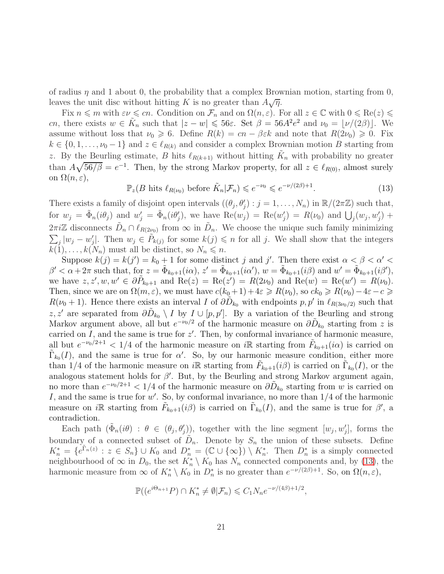of radius  $\eta$  and 1 about 0, the probability that a complex Brownian motion, starting from 0, leaves the unit disc without hitting K is no greater than  $A\sqrt{\eta}$ .

Fix  $n \leq m$  with  $\varepsilon \nu \leq c_n$ . Condition on  $\mathcal{F}_n$  and on  $\Omega(n, \varepsilon)$ . For all  $z \in \mathbb{C}$  with  $0 \leq \text{Re}(z) \leq \nu$ cn, there exists  $w \in \tilde{K}_n$  such that  $|z - w| \leq 56\varepsilon$ . Set  $\beta = 56A^2e^2$  and  $\nu_0 = \lfloor \nu/(2\beta) \rfloor$ . We assume without loss that  $\nu_0 \geq 6$ . Define  $R(k) = cn - \beta \varepsilon k$  and note that  $R(2\nu_0) \geq 0$ . Fix  $k \in \{0, 1, \ldots, \nu_0 - 1\}$  and  $z \in \ell_{R(k)}$  and consider a complex Brownian motion B starting from z. By the Beurling estimate, B hits  $\ell_{R(k+1)}$  without hitting  $\tilde{K}_n$  with probability no greater than  $A\sqrt{56/\beta} = e^{-1}$ . Then, by the strong Markov property, for all  $z \in \ell_{R(0)}$ , almost surely on  $\Omega(n,\varepsilon),$ 

<span id="page-20-0"></span>
$$
\mathbb{P}_z(B \text{ hits } \ell_{R(\nu_0)} \text{ before } \tilde{K}_n | \mathcal{F}_n) \leqslant e^{-\nu_0} \leqslant e^{-\nu/(2\beta)+1}.
$$
\n
$$
(13)
$$

There exists a family of disjoint open intervals  $((\theta_j, \theta'_j) : j = 1, \ldots, N_n)$  in  $\mathbb{R}/(2\pi\mathbb{Z})$  such that, for  $w_j = \tilde{\Phi}_n(i\theta_j)$  and  $w'_j = \tilde{\Phi}_n(i\theta'_j)$ , we have  $\text{Re}(w_j) = \text{Re}(w'_j) = R(\nu_0)$  and  $\bigcup_j (w_j, w'_j) +$  $2\pi i\mathbb{Z}$  disconnects  $\tilde{D}_n \cap \ell_{R(2\omega_0)}$  from  $\infty$  in  $\tilde{D}_n$ . We choose the unique such family minimizing  $\sum_{j} |w_j - w'_j|$ . Then  $w_j \in \tilde{P}_{k(j)}$  for some  $k(j) \leq n$  for all j. We shall show that the integers  $k(1), \ldots, k(N_n)$  must all be distinct, so  $N_n \leq n$ .

Suppose  $k(j) = k(j') = k_0 + 1$  for some distinct j and j'. Then there exist  $\alpha < \beta < \alpha' <$  $\beta' < \alpha + 2\pi$  such that, for  $z = \tilde{\Phi}_{k_0+1}(i\alpha)$ ,  $z' = \tilde{\Phi}_{k_0+1}(i\alpha')$ ,  $w = \tilde{\Phi}_{k_0+1}(i\beta)$  and  $w' = \tilde{\Phi}_{k_0+1}(i\beta')$ , we have  $z, z', w, w' \in \partial \tilde{P}_{k_0+1}$  and  $\text{Re}(z) = \text{Re}(z') = R(2\nu_0)$  and  $\text{Re}(w) = \text{Re}(w') = R(\nu_0)$ . Then, since we are on  $\Omega(m,\varepsilon)$ , we must have  $c(k_0+1)+4\varepsilon \ge R(\nu_0)$ , so  $ck_0 \ge R(\nu_0)-4\varepsilon-c \ge$  $R(\nu_0+1)$ . Hence there exists an interval I of  $\partial \tilde{D}_{k_0}$  with endpoints  $p, p'$  in  $\ell_{R(3\nu_0/2)}$  such that z, z' are separated from  $\partial \tilde{D}_{k_0} \setminus I$  by  $I \cup [p, p']$ . By a variation of the Beurling and strong Markov argument above, all but  $e^{-\nu_0/2}$  of the harmonic measure on  $\partial \tilde{D}_{k_0}$  starting from z is carried on  $I$ , and the same is true for  $z'$ . Then, by conformal invariance of harmonic measure, all but  $e^{-\nu_0/2+1} < 1/4$  of the harmonic measure on iR starting from  $\tilde{F}_{k_0+1}(i\alpha)$  is carried on  $\tilde{\Gamma}_{k_0}(I)$ , and the same is true for  $\alpha'$ . So, by our harmonic measure condition, either more than 1/4 of the harmonic measure on iR starting from  $\tilde{F}_{k_0+1}(i\beta)$  is carried on  $\tilde{\Gamma}_{k_0}(I)$ , or the analogous statement holds for  $\beta'$ . But, by the Beurling and strong Markov argument again, no more than  $e^{-\nu_0/2+1} < 1/4$  of the harmonic measure on  $\partial \tilde{D}_{k_0}$  starting from w is carried on I, and the same is true for  $w'$ . So, by conformal invariance, no more than  $1/4$  of the harmonic measure on iR starting from  $\tilde{F}_{k_0+1}(i\beta)$  is carried on  $\tilde{\Gamma}_{k_0}(I)$ , and the same is true for  $\beta'$ , a contradiction.

Each path  $(\tilde{\Phi}_n(i\theta) : \theta \in (\theta_j, \theta'_j))$ , together with the line segment  $[w_j, w'_j]$ , forms the boundary of a connected subset of  $D_n$ . Denote by  $S_n$  the union of these subsets. Define  $K_n^* = \{e^{\tilde{\Gamma}_n(z)} : z \in S_n\} \cup K_0$  and  $D_n^* = (\mathbb{C} \cup \{\infty\}) \setminus K_n^*$ . Then  $D_n^*$  is a simply connected neighbourhood of  $\infty$  in  $D_0$ , the set  $K_n^* \setminus K_0$  has  $N_n$  connected components and, by [\(13\)](#page-20-0), the harmonic measure from  $\infty$  of  $K_n^* \setminus K_0$  in  $D_n^*$  is no greater than  $e^{-\nu/(2\beta)+1}$ . So, on  $\Omega(n,\varepsilon)$ ,

$$
\mathbb{P}((e^{i\Theta_{n+1}}P)\cap K_n^*\neq \emptyset|\mathcal{F}_n)\leqslant C_1N_ne^{-\nu/(4\beta)+1/2},
$$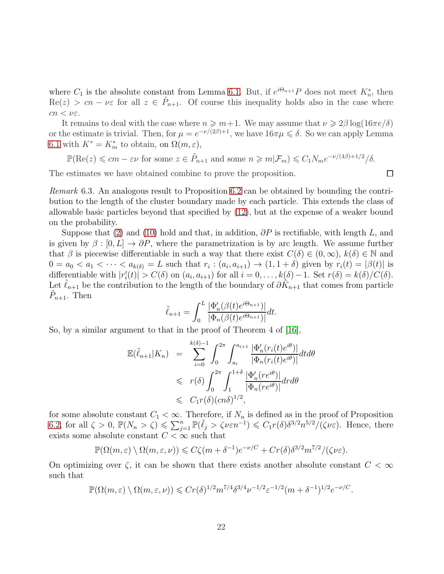where  $C_1$  is the absolute constant from Lemma [6.1.](#page-17-2) But, if  $e^{i\Theta_{n+1}}P$  does not meet  $K_n^*$ , then  $\text{Re}(z) > cn - \nu \varepsilon$  for all  $z \in \tilde{P}_{n+1}$ . Of course this inequality holds also in the case where  $cn < \nu \varepsilon$ .

It remains to deal with the case where  $n \geq m+1$ . We may assume that  $\nu \geq 2\beta \log(16\pi e/\delta)$ or the estimate is trivial. Then, for  $\mu = e^{-\nu/(2\beta)+1}$ , we have  $16\pi\mu \leq \delta$ . So we can apply Lemma [6.1](#page-17-2) with  $K^* = K_m^*$  to obtain, on  $\Omega(m, \varepsilon)$ ,

 $\mathbb{P}(\text{Re}(z) \leqslant cm - \varepsilon \nu \text{ for some } z \in \tilde{P}_{n+1} \text{ and some } n \geqslant m | \mathcal{F}_m) \leqslant C_1 N_m e^{-\nu/(4\beta)+1/2} / \delta.$ 

 $\Box$ 

The estimates we have obtained combine to prove the proposition.

*Remark* 6.3*.* An analogous result to Proposition [6.2](#page-19-1) can be obtained by bounding the contribution to the length of the cluster boundary made by each particle. This extends the class of allowable basic particles beyond that specified by [\(12\)](#page-19-0), but at the expense of a weaker bound on the probability.

Suppose that [\(2\)](#page-8-1) and [\(10\)](#page-17-1) hold and that, in addition,  $\partial P$  is rectifiable, with length L, and is given by  $\beta : [0, L] \to \partial P$ , where the parametrization is by arc length. We assume further that  $\beta$  is piecewise differentiable in such a way that there exist  $C(\delta) \in (0,\infty)$ ,  $k(\delta) \in \mathbb{N}$  and  $0 = a_0 < a_1 < \cdots < a_{k(\delta)} = L$  such that  $r_i : (a_i, a_{i+1}) \to (1, 1 + \delta)$  given by  $r_i(t) = |\beta(t)|$  is differentiable with  $|r'_{i}(t)| > C(\delta)$  on  $(a_{i}, a_{i+1})$  for all  $i = 0, \ldots, k(\delta) - 1$ . Set  $r(\delta) = k(\delta)/C(\delta)$ . Let  $\tilde{\ell}_{n+1}$  be the contribution to the length of the boundary of  $\partial \tilde{K}_{n+1}$  that comes from particle  $\tilde{P}_{n+1}$ . Then

$$
\tilde{\ell}_{n+1} = \int_0^L \frac{|\Phi_n'(\beta(t)e^{i\Theta_{n+1}})|}{|\Phi_n(\beta(t)e^{i\Theta_{n+1}})|} dt.
$$

So, by a similar argument to that in the proof of Theorem 4 of [\[16\]](#page-38-1),

$$
\mathbb{E}(\tilde{\ell}_{n+1}|K_n) = \sum_{i=0}^{k(\delta)-1} \int_0^{2\pi} \int_{a_i}^{a_{i+1}} \frac{|\Phi'_n(r_i(t)e^{i\theta})|}{|\Phi_n(r_i(t)e^{i\theta})|} dt d\theta
$$
  
\n
$$
\leq r(\delta) \int_0^{2\pi} \int_1^{1+\delta} \frac{|\Phi'_n(re^{i\theta})|}{|\Phi_n(re^{i\theta})|} dr d\theta
$$
  
\n
$$
\leq C_1 r(\delta)(cn\delta)^{1/2},
$$

for some absolute constant  $C_1 < \infty$ . Therefore, if  $N_n$  is defined as in the proof of Proposition [6.2,](#page-19-1) for all  $\zeta > 0$ ,  $\mathbb{P}(N_n > \zeta) \leqslant \sum_{j=1}^n \mathbb{P}(\tilde{\ell}_j > \zeta \nu \varepsilon n^{-1}) \leqslant C_1 r(\delta) \delta^{3/2} n^{5/2} / (\zeta \nu \varepsilon)$ . Hence, there exists some absolute constant  $C < \infty$  such that

$$
\mathbb{P}(\Omega(m,\varepsilon) \setminus \Omega(m,\varepsilon,\nu)) \leqslant C\zeta(m+\delta^{-1})e^{-\nu/C} + Cr(\delta)\delta^{3/2}m^{7/2}/(\zeta\nu\varepsilon).
$$

On optimizing over  $\zeta$ , it can be shown that there exists another absolute constant  $C < \infty$ such that

$$
\mathbb{P}(\Omega(m,\varepsilon) \setminus \Omega(m,\varepsilon,\nu)) \leqslant Cr(\delta)^{1/2} m^{7/4} \delta^{3/4} \nu^{-1/2} \varepsilon^{-1/2} (m+\delta^{-1})^{1/2} e^{-\nu/C}.
$$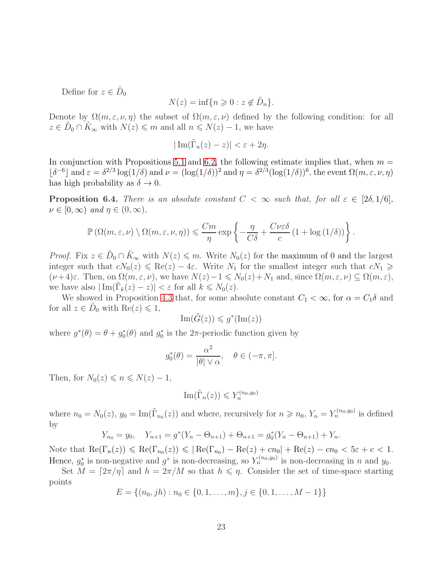Define for  $z \in \tilde{D}_0$ 

$$
N(z) = \inf\{n \geq 0 : z \notin \tilde{D}_n\}.
$$

Denote by  $\Omega(m,\varepsilon,\nu,\eta)$  the subset of  $\Omega(m,\varepsilon,\nu)$  defined by the following condition: for all  $z \in \tilde{D}_0 \cap \tilde{K}_{\infty}$  with  $N(z) \leq m$  and all  $n \leq N(z) - 1$ , we have

$$
|\operatorname{Im}(\tilde{\Gamma}_n(z)-z)| < \varepsilon + 2\eta.
$$

In conjunction with Propositions [5.1](#page-14-1) and [6.2,](#page-19-1) the following estimate implies that, when  $m =$  $\lfloor \delta^{-6} \rfloor$  and  $\varepsilon = \delta^{2/3} \log(1/\delta)$  and  $\nu = (\log(1/\delta))^2$  and  $\eta = \delta^{2/3} (\log(1/\delta))^6$ , the event  $\Omega(m, \varepsilon, \nu, \eta)$ has high probability as  $\delta \to 0$ .

**Proposition 6.4.** *There is an absolute constant*  $C < \infty$  *such that, for all*  $\varepsilon \in [2\delta, 1/6]$ *,*  $\nu \in [0, \infty)$  and  $\eta \in (0, \infty)$ ,

$$
\mathbb{P}\left(\Omega(m,\varepsilon,\nu)\setminus \Omega(m,\varepsilon,\nu,\eta)\right) \leqslant \frac{Cm}{\eta}\exp\left\{-\frac{\eta}{C\delta}+\frac{C\nu\varepsilon\delta}{c}\left(1+\log\left(1/\delta\right)\right)\right\}.
$$

*Proof.* Fix  $z \in \tilde{D}_0 \cap \tilde{K}_{\infty}$  with  $N(z) \leq m$ . Write  $N_0(z)$  for the maximum of 0 and the largest integer such that  $cN_0(z) \leqslant \text{Re}(z) - 4\varepsilon$ . Write  $N_1$  for the smallest integer such that  $cN_1 \geqslant$  $(\nu+4)\varepsilon$ . Then, on  $\Omega(m,\varepsilon,\nu)$ , we have  $N(z)-1 \leq N_0(z)+N_1$  and, since  $\Omega(m,\varepsilon,\nu) \subseteq \Omega(m,\varepsilon)$ , we have also  $|\operatorname{Im}(\tilde{\Gamma}_k(z)-z)| < \varepsilon$  for all  $k \le N_0(z)$ .

We showed in Proposition [4.3](#page-12-0) that, for some absolute constant  $C_1 < \infty$ , for  $\alpha = C_1 \delta$  and for all  $z \in \tilde{D}_0$  with  $\text{Re}(z) \leq 1$ ,

$$
\operatorname{Im}(\tilde{G}(z)) \leqslant g^*(\operatorname{Im}(z))
$$

where  $g^*(\theta) = \theta + g_0^*(\theta)$  and  $g_0^*$  is the  $2\pi$ -periodic function given by

$$
g_0^*(\theta) = \frac{\alpha^2}{|\theta| \vee \alpha}, \quad \theta \in (-\pi, \pi].
$$

Then, for  $N_0(z) \leqslant n \leqslant N(z) - 1$ ,

$$
\operatorname{Im}(\tilde{\Gamma}_n(z)) \leqslant Y_n^{(n_0,y_0)}
$$

where  $n_0 = N_0(z)$ ,  $y_0 = \text{Im}(\tilde{\Gamma}_{n_0}(z))$  and where, recursively for  $n \geq n_0$ ,  $Y_n = Y_n^{(n_0, y_0)}$  is defined by

$$
Y_{n_0} = y_0, \quad Y_{n+1} = g^*(Y_n - \Theta_{n+1}) + \Theta_{n+1} = g_0^*(Y_n - \Theta_{n+1}) + Y_n.
$$

Note that  $\text{Re}(\Gamma_n(z)) \leq \text{Re}(\Gamma_{n_0}(z)) \leq |\text{Re}(\Gamma_{n_0}) - \text{Re}(z) + cn_0| + \text{Re}(z) - cn_0 < 5\varepsilon + c < 1.$ Hence,  $g_0^*$  is non-negative and  $g^*$  is non-decreasing, so  $Y_n^{(n_0,y_0)}$  is non-decreasing in n and  $y_0$ .

Set  $M = \lfloor 2\pi/\eta \rfloor$  and  $h = 2\pi/M$  so that  $h \leq \eta$ . Consider the set of time-space starting points

$$
E = \{(n_0, jh) : n_0 \in \{0, 1, \dots, m\}, j \in \{0, 1, \dots, M - 1\}\}\
$$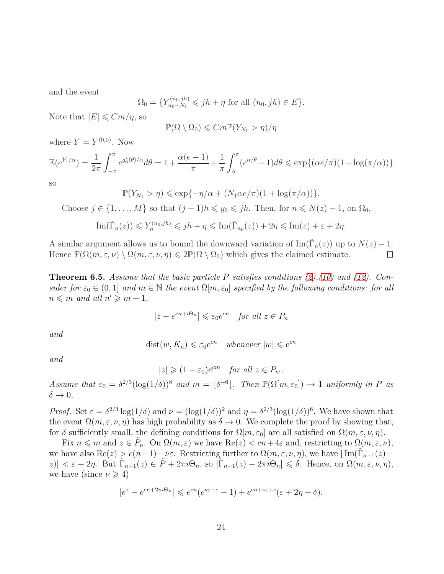and the event

$$
\Omega_0 = \{ Y_{n_0+N_1}^{(n_0,jh)} \leq jh + \eta \text{ for all } (n_0,jh) \in E \}.
$$

Note that  $|E| \leqslant Cm/\eta$ , so

$$
\mathbb{P}(\Omega \setminus \Omega_0) \leqslant Cm \mathbb{P}(Y_{N_1} > \eta)/\eta
$$

where  $Y = Y^{(0,0)}$ . Now

$$
\mathbb{E}(e^{Y_1/\alpha}) = \frac{1}{2\pi} \int_{-\pi}^{\pi} e^{g_0^*(\theta)/\alpha} d\theta = 1 + \frac{\alpha(e-1)}{\pi} + \frac{1}{\pi} \int_{\alpha}^{\pi} (e^{\alpha/\theta} - 1) d\theta \le \exp\{(\alpha e/\pi)(1 + \log(\pi/\alpha))\}
$$

so

$$
\mathbb{P}(Y_{N_1} > \eta) \leq \exp\{-\eta/\alpha + (N_1 \alpha e/\pi)(1 + \log(\pi/\alpha))\}.
$$

Choose  $j \in \{1, ..., M\}$  so that  $(j-1)h \leq y_0 \leq jh$ . Then, for  $n \leq N(z) - 1$ , on  $\Omega_0$ ,

$$
\operatorname{Im}(\tilde{\Gamma}_n(z)) \leq Y_n^{(n_0,jh)} \leq jh + \eta \leq \operatorname{Im}(\tilde{\Gamma}_{n_0}(z)) + 2\eta \leq \operatorname{Im}(z) + \varepsilon + 2\eta.
$$

A similar argument allows us to bound the downward variation of  $\text{Im}(\tilde{\Gamma}_n(z))$  up to  $N(z) - 1$ . Hence  $\mathbb{P}(\Omega(m,\varepsilon,\nu) \setminus \Omega(m,\varepsilon,\nu,\eta) \leq 2 \mathbb{P}(\Omega \setminus \Omega_0)$  which gives the claimed estimate.

<span id="page-23-0"></span>Theorem 6.5. *Assume that the basic particle* P *satisfies conditions [\(2\)](#page-8-1),[\(10\)](#page-17-1) and [\(12\)](#page-19-0). Consider for*  $\varepsilon_0 \in (0,1]$  *and*  $m \in \mathbb{N}$  *the event*  $\Omega[m,\varepsilon_0]$  *specified by the following conditions: for all*  $n \leq m$  and all  $n' \geq m + 1$ ,

$$
|z - e^{cn + i\Theta_n}| \leq \varepsilon_0 e^{cn} \quad \text{for all } z \in P_n
$$

*and*

$$
dist(w, K_n) \leq \varepsilon_0 e^{cn} \quad whenever \ |w| \leq e^{cn}
$$

*and*

 $|z| \geqslant (1 - \varepsilon_0)e^{cm}$  *for all*  $z \in P_{n'}$ .

*Assume that*  $\varepsilon_0 = \delta^{2/3} (\log(1/\delta))^8$  *and*  $m = \lfloor \delta^{-6} \rfloor$ . Then  $\mathbb{P}(\Omega[m, \varepsilon_0]) \to 1$  *uniformly in* P *as*  $\delta \rightarrow 0$ .

*Proof.* Set  $\varepsilon = \delta^{2/3} \log(1/\delta)$  and  $\nu = (\log(1/\delta))^2$  and  $\eta = \delta^{2/3} (\log(1/\delta))^6$ . We have shown that the event  $\Omega(m,\varepsilon,\nu,\eta)$  has high probability as  $\delta \to 0$ . We complete the proof by showing that, for  $\delta$  sufficiently small, the defining conditions for  $\Omega[m,\varepsilon_0]$  are all satisfied on  $\Omega(m,\varepsilon,\nu,\eta)$ .

Fix  $n \leq m$  and  $z \in \tilde{P}_n$ . On  $\Omega(m, \varepsilon)$  we have  $\text{Re}(z) < cn + 4\varepsilon$  and, restricting to  $\Omega(m, \varepsilon, \nu)$ , we have also  $\text{Re}(z) \ge c(n-1) - \nu \varepsilon$ . Restricting further to  $\Omega(m, \varepsilon, \nu, \eta)$ , we have  $|\text{Im}(\tilde{\Gamma}_{n-1}(z) |z| < \varepsilon + 2\eta$ . But  $\tilde{\Gamma}_{n-1}(z) \in \tilde{P} + 2\pi i \Theta_n$ , so  $|\tilde{\Gamma}_{n-1}(z) - 2\pi i \Theta_n| \leq \delta$ . Hence, on  $\Omega(m, \varepsilon, \nu, \eta)$ , we have (since  $\nu \geq 4$ )

$$
|e^z - e^{cn + 2\pi i \Theta_n}| \leq e^{cn} (e^{\nu \varepsilon + c} - 1) + e^{cn + \nu \varepsilon + c} (\varepsilon + 2\eta + \delta).
$$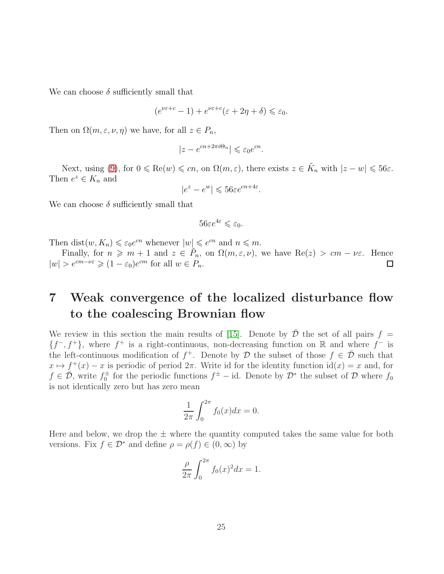We can choose  $\delta$  sufficiently small that

$$
(e^{\nu \varepsilon + c} - 1) + e^{\nu \varepsilon + c} (\varepsilon + 2\eta + \delta) \leq \varepsilon_0.
$$

Then on  $\Omega(m, \varepsilon, \nu, \eta)$  we have, for all  $z \in P_n$ ,

$$
|z - e^{cn + 2\pi i \Theta_n}| \leq \varepsilon_0 e^{cn}.
$$

Next, using [\(9\)](#page-17-4), for  $0 \le \text{Re}(w) \le cn$ , on  $\Omega(m, \varepsilon)$ , there exists  $z \in \tilde{K}_n$  with  $|z - w| \le 56\varepsilon$ . Then  $e^z \in K_n$  and

$$
|e^z - e^w| \leq 56\varepsilon e^{cn + 4\varepsilon}.
$$

We can choose  $\delta$  sufficiently small that

$$
56\varepsilon e^{4\varepsilon} \leqslant \varepsilon_0.
$$

Then dist $(w, K_n) \leq \varepsilon_0 e^{cn}$  whenever  $|w| \leq e^{cn}$  and  $n \leq m$ .

Finally, for  $n \geq m + 1$  and  $z \in \tilde{P}_n$ , on  $\Omega(m, \varepsilon, \nu)$ , we have  $\text{Re}(z) > cm - \nu \varepsilon$ . Hence  $|w| > e^{cm - \nu \varepsilon} \geqslant (1 - \varepsilon_0)e^{cm}$  for all  $w \in P_n$ .

## <span id="page-24-0"></span>7 Weak convergence of the localized disturbance flow to the coalescing Brownian flow

We review in this section the main results of [\[15\]](#page-37-1). Denote by  $D$  the set of all pairs  $f =$  ${f^-, f^+}$ , where  $f^+$  is a right-continuous, non-decreasing function on R and where  $f^-$  is the left-continuous modification of  $f^+$ . Denote by D the subset of those  $f \in \overline{\mathcal{D}}$  such that  $x \mapsto f^+(x) - x$  is periodic of period  $2\pi$ . Write id for the identity function  $id(x) = x$  and, for  $f \in \overline{\mathcal{D}}$ , write  $f_0^{\pm}$  for the periodic functions  $f^{\pm}$  – id. Denote by  $\mathcal{D}^*$  the subset of  $\mathcal D$  where  $f_0$ is not identically zero but has zero mean

$$
\frac{1}{2\pi} \int_0^{2\pi} f_0(x) dx = 0.
$$

Here and below, we drop the  $\pm$  where the quantity computed takes the same value for both versions. Fix  $f \in \mathcal{D}^*$  and define  $\rho = \rho(f) \in (0, \infty)$  by

$$
\frac{\rho}{2\pi} \int_0^{2\pi} f_0(x)^2 dx = 1.
$$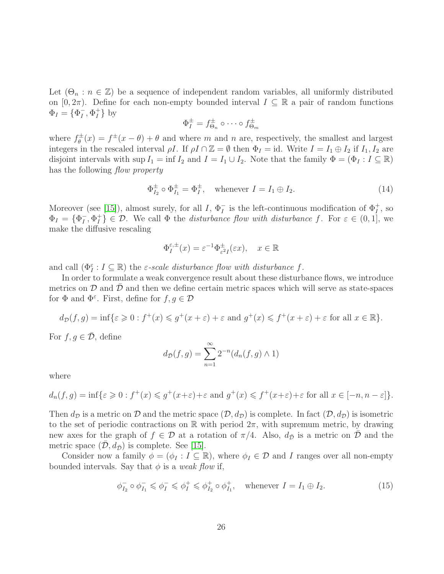Let  $(\Theta_n : n \in \mathbb{Z})$  be a sequence of independent random variables, all uniformly distributed on  $[0, 2\pi)$ . Define for each non-empty bounded interval  $I \subseteq \mathbb{R}$  a pair of random functions  $\Phi_I = \{\Phi_I^ _{I}^{-},\Phi_{I}^{+}$  $_{I}^{+}$ } by

$$
\Phi_I^{\pm} = f_{\Theta_n}^{\pm} \circ \cdots \circ f_{\Theta_m}^{\pm}
$$

where  $f_{\theta}^{\pm}$  $g_{\theta}^{\pm}(x) = f^{\pm}(x - \theta) + \theta$  and where m and n are, respectively, the smallest and largest integers in the rescaled interval  $\rho I$ . If  $\rho I \cap \mathbb{Z} = \emptyset$  then  $\Phi_I = id$ . Write  $I = I_1 \oplus I_2$  if  $I_1, I_2$  are disjoint intervals with sup  $I_1 = \inf I_2$  and  $I = I_1 \cup I_2$ . Note that the family  $\Phi = (\Phi_I : I \subseteq \mathbb{R})$ has the following *flow property*

<span id="page-25-0"></span>
$$
\Phi_{I_2}^{\pm} \circ \Phi_{I_1}^{\pm} = \Phi_I^{\pm}, \quad \text{whenever } I = I_1 \oplus I_2. \tag{14}
$$

Moreover (see [\[15\]](#page-37-1)), almost surely, for all I,  $\Phi_I^-$  is the left-continuous modification of  $\Phi_I^+$ , so  $\Phi_I = {\Phi_I^-}$  $_{I}^{-},\Phi_{I}^{+}$  $\{f\} \in \mathcal{D}$ . We call  $\Phi$  the *disturbance flow with disturbance* f. For  $\varepsilon \in (0,1]$ , we make the diffusive rescaling

$$
\Phi_I^{\varepsilon,\pm}(x) = \varepsilon^{-1} \Phi_{\varepsilon^2 I}^\pm(\varepsilon x), \quad x \in \mathbb{R}
$$

and call  $(\Phi_I^{\varepsilon}: I \subseteq \mathbb{R})$  the  $\varepsilon$ -scale disturbance flow with disturbance f.

In order to formulate a weak convergence result about these disturbance flows, we introduce metrics on  $\mathcal D$  and  $\mathcal D$  and then we define certain metric spaces which will serve as state-spaces for  $\Phi$  and  $\Phi^{\varepsilon}$ . First, define for  $f, g \in \mathcal{D}$ 

$$
d_{\mathcal{D}}(f,g)=\inf\{\varepsilon\geqslant 0:f^+(x)\leqslant g^+(x+\varepsilon)+\varepsilon\text{ and }g^+(x)\leqslant f^+(x+\varepsilon)+\varepsilon\text{ for all }x\in\mathbb{R}\}.
$$

For  $f, g \in \overline{\mathcal{D}}$ , define

$$
d_{\bar{D}}(f,g) = \sum_{n=1}^{\infty} 2^{-n} (d_n(f,g) \wedge 1)
$$

where

$$
d_n(f,g) = \inf \{ \varepsilon \geqslant 0 : f^+(x) \leqslant g^+(x+\varepsilon) + \varepsilon \text{ and } g^+(x) \leqslant f^+(x+\varepsilon) + \varepsilon \text{ for all } x \in [-n, n-\varepsilon] \}.
$$

Then  $d_{\mathcal{D}}$  is a metric on  $\mathcal D$  and the metric space  $(\mathcal D, d_{\mathcal{D}})$  is complete. In fact  $(\mathcal D, d_{\mathcal{D}})$  is isometric to the set of periodic contractions on R with period  $2\pi$ , with supremum metric, by drawing new axes for the graph of  $f \in \mathcal{D}$  at a rotation of  $\pi/4$ . Also,  $d_{\bar{\mathcal{D}}}$  is a metric on  $\mathcal D$  and the metric space  $(\mathcal{D}, d_{\bar{\mathcal{D}}})$  is complete. See [\[15\]](#page-37-1).

Consider now a family  $\phi = (\phi_I : I \subseteq \mathbb{R})$ , where  $\phi_I \in \mathcal{D}$  and I ranges over all non-empty bounded intervals. Say that  $\phi$  is a *weak flow* if,

$$
\phi_{I_2}^- \circ \phi_{I_1}^- \leq \phi_I^- \leq \phi_I^+ \leq \phi_{I_2}^+ \circ \phi_{I_1}^+, \quad \text{whenever } I = I_1 \oplus I_2. \tag{15}
$$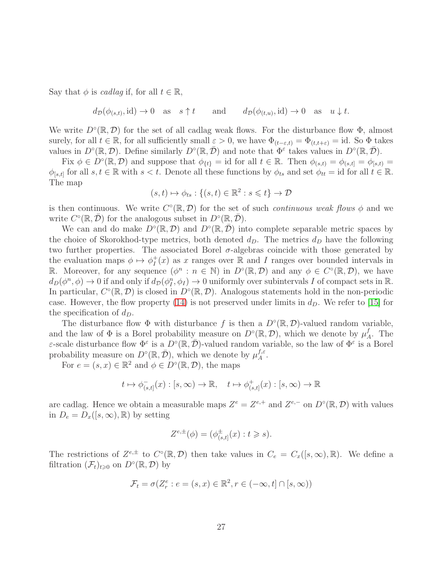Say that  $\phi$  is *cadlag* if, for all  $t \in \mathbb{R}$ ,

$$
d_{\mathcal{D}}(\phi_{(s,t)}, \text{id}) \to 0 \text{ as } s \uparrow t \quad \text{and} \quad d_{\mathcal{D}}(\phi_{(t,u)}, \text{id}) \to 0 \text{ as } u \downarrow t.
$$

We write  $D^{\circ}(\mathbb{R}, \mathcal{D})$  for the set of all cadlag weak flows. For the disturbance flow  $\Phi$ , almost surely, for all  $t \in \mathbb{R}$ , for all sufficiently small  $\varepsilon > 0$ , we have  $\Phi_{(t-\varepsilon,t)} = \Phi_{(t,t+\varepsilon)} = id$ . So  $\Phi$  takes values in  $D^{\circ}(\mathbb{R}, \mathcal{D})$ . Define similarly  $D^{\circ}(\mathbb{R}, \bar{\mathcal{D}})$  and note that  $\Phi^{\varepsilon}$  takes values in  $D^{\circ}(\mathbb{R}, \bar{\mathcal{D}})$ .

Fix  $\phi \in D^{\circ}(\mathbb{R}, \mathcal{D})$  and suppose that  $\phi_{\{t\}} = id$  for all  $t \in \mathbb{R}$ . Then  $\phi_{(s,t)} = \phi_{(s,t)} = \phi_{[s,t)} =$  $\phi_{[s,t]}$  for all  $s, t \in \mathbb{R}$  with  $s < t$ . Denote all these functions by  $\phi_{ts}$  and set  $\phi_{tt} = id$  for all  $t \in \mathbb{R}$ . The map

$$
(s,t)\mapsto \phi_{ts}:\{(s,t)\in\mathbb{R}^2:s\leqslant t\}\to\mathcal{D}
$$

is then continuous. We write  $C^{\circ}(\mathbb{R}, \mathcal{D})$  for the set of such *continuous weak flows*  $\phi$  and we write  $C^{\circ}(\mathbb{R}, \overline{\mathcal{D}})$  for the analogous subset in  $D^{\circ}(\mathbb{R}, \overline{\mathcal{D}})$ .

We can and do make  $D^{\circ}(\mathbb{R}, \mathcal{D})$  and  $D^{\circ}(\mathbb{R}, \bar{\mathcal{D}})$  into complete separable metric spaces by the choice of Skorokhod-type metrics, both denoted  $d<sub>D</sub>$ . The metrics  $d<sub>D</sub>$  have the following two further properties. The associated Borel  $\sigma$ -algebras coincide with those generated by the evaluation maps  $\phi \mapsto \phi_I^+$  $I_I^+(x)$  as x ranges over  $\mathbb R$  and I ranges over bounded intervals in R. Moreover, for any sequence  $(\phi^n : n \in \mathbb{N})$  in  $D^{\circ}(\mathbb{R}, \mathcal{D})$  and any  $\phi \in C^{\circ}(\mathbb{R}, \mathcal{D})$ , we have  $d_D(\phi^n, \phi) \to 0$  if and only if  $d_D(\phi^n_I, \phi_I) \to 0$  uniformly over subintervals I of compact sets in  $\mathbb{R}$ . In particular,  $C^{\circ}(\mathbb{R}, \mathcal{D})$  is closed in  $D^{\circ}(\mathbb{R}, \mathcal{D})$ . Analogous statements hold in the non-periodic case. However, the flow property [\(14\)](#page-25-0) is not preserved under limits in  $d<sub>D</sub>$ . We refer to [\[15\]](#page-37-1) for the specification of  $d_D$ .

The disturbance flow  $\Phi$  with disturbance f is then a  $D^{\circ}(\mathbb{R}, \mathcal{D})$ -valued random variable, and the law of  $\Phi$  is a Borel probability measure on  $D^{\circ}(\mathbb{R}, \mathcal{D})$ , which we denote by  $\mu_{\mathcal{A}}^f$  $A^J$ . The  $\varepsilon$ -scale disturbance flow  $\Phi^{\varepsilon}$  is a  $D^{\circ}(\mathbb{R}, \overline{\mathcal{D}})$ -valued random variable, so the law of  $\Phi^{\varepsilon}$  is a Borel probability measure on  $D^{\circ}(\mathbb{R}, \overline{\mathcal{D}})$ , which we denote by  $\mu_A^{f,\varepsilon}$  $A^{\mathcal{E}}$ .

For  $e = (s, x) \in \mathbb{R}^2$  and  $\phi \in D^\circ(\mathbb{R}, \mathcal{D})$ , the maps

$$
t\mapsto \phi^-_{(s,t]}(x):[s,\infty)\to \mathbb{R},\quad t\mapsto \phi^+_{(s,t]}(x):[s,\infty)\to \mathbb{R}
$$

are cadlag. Hence we obtain a measurable maps  $Z^e = Z^{e,+}$  and  $Z^{e,-}$  on  $D^{\circ}(\mathbb{R}, \mathcal{D})$  with values in  $D_e = D_x([s,\infty),\mathbb{R})$  by setting

$$
Z^{e,\pm}(\phi) = (\phi_{(s,t]}^{\pm}(x) : t \geq s).
$$

The restrictions of  $Z^{e,\pm}$  to  $C^{\circ}(\mathbb{R},\mathcal{D})$  then take values in  $C_e = C_x([s,\infty),\mathbb{R})$ . We define a filtration  $(\mathcal{F}_t)_{t\geqslant0}$  on  $D^{\circ}(\mathbb{R}, \mathcal{D})$  by

$$
\mathcal{F}_t = \sigma(Z_r^e : e = (s, x) \in \mathbb{R}^2, r \in (-\infty, t] \cap [s, \infty))
$$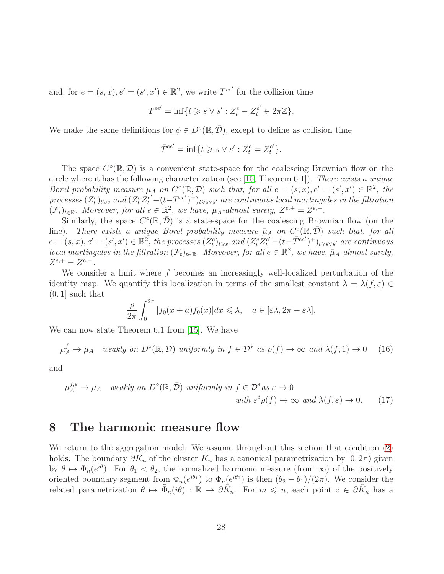and, for  $e = (s, x), e' = (s', x') \in \mathbb{R}^2$ , we write  $T^{ee'}$  for the collision time

$$
T^{ee'} = \inf\{t \geq s \vee s' : Z_t^e - Z_t^{e'} \in 2\pi\mathbb{Z}\}.
$$

We make the same definitions for  $\phi \in D^{\circ}(\mathbb{R}, \overline{\mathcal{D}})$ , except to define as collision time

$$
\bar{T}^{ee'} = \inf\{t \geq s \vee s' : Z_t^e = Z_t^{e'}\}.
$$

The space  $C^{\circ}(\mathbb{R}, \mathcal{D})$  is a convenient state-space for the coalescing Brownian flow on the circle where it has the following characterization (see [\[15,](#page-37-1) Theorem 6.1]). *There exists a unique Borel probability measure*  $\mu_A$  *on*  $C^{\circ}(\mathbb{R}, \mathcal{D})$  *such that, for all*  $e = (s, x), e' = (s', x') \in \mathbb{R}^2$ , the  $processes (Z_t^e)_{t\geqslant s}$  and  $(Z_t^e Z_t^{e'} - (t-T^{ee'})^+)_{t\geqslant s\vee s'}$  are continuous local martingales in the filtration  $(\mathcal{F}_t)_{t\in\mathbb{R}}$ *. Moreover, for all*  $e \in \mathbb{R}^2$ *, we have,*  $\mu_A$ -almost surely,  $Z^{e,+} = Z^{e,-}$ *.* 

Similarly, the space  $C^{\circ}(\mathbb{R}, \overline{\mathcal{D}})$  is a state-space for the coalescing Brownian flow (on the line). There exists a unique Borel probability measure  $\bar{\mu}_A$  on  $C^{\circ}(\mathbb{R}, \bar{\mathcal{D}})$  such that, for all  $e = (s, x), e' = (s', x') \in \mathbb{R}^2$ , the processes  $(Z_t^e)_{t \geq s}$  and  $(Z_t^e Z_t^{e'} - (t - \overline{T}^{ee'})^+)_{t \geq s \vee s'}$  are continuous *local martingales in the filtration*  $(\mathcal{F}_t)_{t \in \mathbb{R}}$ *. Moreover, for all*  $e \in \mathbb{R}^2$ *, we have,*  $\bar{\mu}_A$ -almost surely,  $Z^{e,+} = Z^{e,-}$ .

We consider a limit where  $f$  becomes an increasingly well-localized perturbation of the identity map. We quantify this localization in terms of the smallest constant  $\lambda = \lambda(f, \varepsilon) \in$  $(0, 1]$  such that

<span id="page-27-2"></span>
$$
\frac{\rho}{2\pi} \int_0^{2\pi} |f_0(x+a)f_0(x)| dx \le \lambda, \quad a \in [\varepsilon\lambda, 2\pi - \varepsilon\lambda].
$$

We can now state Theorem 6.1 from [\[15\]](#page-37-1). We have

<span id="page-27-1"></span>
$$
\mu_A^f \to \mu_A \quad weakly \text{ on } D^{\circ}(\mathbb{R}, \mathcal{D}) \text{ uniformly in } f \in \mathcal{D}^* \text{ as } \rho(f) \to \infty \text{ and } \lambda(f, 1) \to 0 \quad (16)
$$

and

$$
\mu_A^{f,\varepsilon} \to \bar{\mu}_A \quad weakly \text{ on } D^{\circ}(\mathbb{R}, \bar{\mathcal{D}}) \text{ uniformly in } f \in \mathcal{D}^* \text{ as } \varepsilon \to 0
$$
  

$$
\text{with } \varepsilon^3 \rho(f) \to \infty \text{ and } \lambda(f, \varepsilon) \to 0. \tag{17}
$$

#### <span id="page-27-0"></span>8 The harmonic measure flow

We return to the aggregation model. We assume throughout this section that condition  $(2)$ holds. The boundary  $\partial K_n$  of the cluster  $K_n$  has a canonical parametrization by  $[0, 2\pi)$  given by  $\theta \mapsto \Phi_n(e^{i\theta})$ . For  $\theta_1 < \theta_2$ , the normalized harmonic measure (from  $\infty$ ) of the positively oriented boundary segment from  $\Phi_n(e^{i\theta_1})$  to  $\Phi_n(e^{i\theta_2})$  is then  $(\theta_2 - \theta_1)/(2\pi)$ . We consider the related parametrization  $\theta \mapsto \tilde{\Phi}_n(i\theta) : \mathbb{R} \to \partial \tilde{K}_n$ . For  $m \leq n$ , each point  $z \in \partial \tilde{K}_n$  has a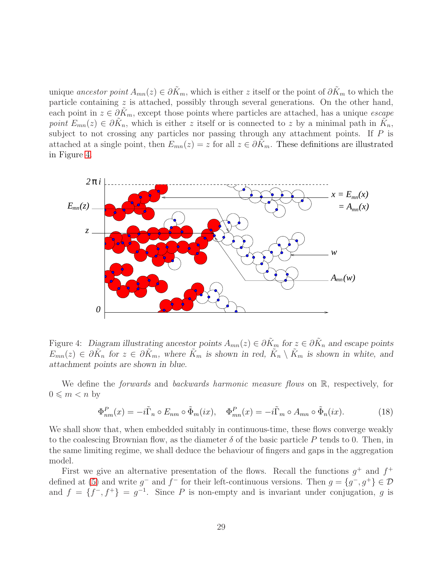unique *ancestor point*  $A_{mn}(z) \in \partial \tilde{K}_m$ , which is either z itself or the point of  $\partial \tilde{K}_m$  to which the particle containing  $z$  is attached, possibly through several generations. On the other hand, each point in  $z \in \partial K_m$ , except those points where particles are attached, has a unique *escape point*  $E_{mn}(z) \in \partial \tilde{K}_n$ , which is either z itself or is connected to z by a minimal path in  $\tilde{K}_n$ , subject to not crossing any particles nor passing through any attachment points. If  $P$  is attached at a single point, then  $E_{mn}(z) = z$  for all  $z \in \partial K_m$ . These definitions are illustrated in Figure [4.](#page-28-0)



<span id="page-28-0"></span>Figure 4: Diagram illustrating ancestor points  $A_{mn}(z) \in \partial \tilde{K}_m$  for  $z \in \partial \tilde{K}_n$  and escape points  $E_{mn}(z) \in \partial \tilde{K}_n$  for  $z \in \partial \tilde{K}_m$ , where  $\tilde{K}_m$  is shown in red,  $\tilde{K}_n \setminus \tilde{K}_m$  is shown in white, and attachment points are shown in blue.

We define the *forwards* and *backwards harmonic measure flows* on R, respectively, for  $0 \leqslant m < n$  by

<span id="page-28-1"></span>
$$
\Phi_{nm}^P(x) = -i\tilde{\Gamma}_n \circ E_{nm} \circ \tilde{\Phi}_m(ix), \quad \Phi_{mn}^P(x) = -i\tilde{\Gamma}_m \circ A_{mn} \circ \tilde{\Phi}_n(ix). \tag{18}
$$

We shall show that, when embedded suitably in continuous-time, these flows converge weakly to the coalescing Brownian flow, as the diameter  $\delta$  of the basic particle P tends to 0. Then, in the same limiting regime, we shall deduce the behaviour of fingers and gaps in the aggregation model.

First we give an alternative presentation of the flows. Recall the functions  $g^+$  and  $f^+$ defined at [\(5\)](#page-12-2) and write  $g^-$  and  $f^-$  for their left-continuous versions. Then  $g = \{g^-, g^+\}\in \mathcal{D}$ and  $f = \{f^-, f^+\} = g^{-1}$ . Since P is non-empty and is invariant under conjugation, g is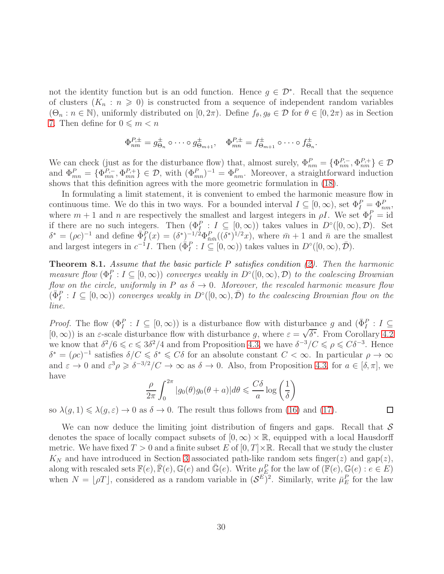not the identity function but is an odd function. Hence  $g \in \mathcal{D}^*$ . Recall that the sequence of clusters  $(K_n : n \geq 0)$  is constructed from a sequence of independent random variables  $(\Theta_n : n \in \mathbb{N})$ , uniformly distributed on  $[0, 2\pi)$ . Define  $f_\theta, g_\theta \in \mathcal{D}$  for  $\theta \in [0, 2\pi)$  as in Section [7.](#page-24-0) Then define for  $0 \leq m < n$ 

$$
\Phi_{nm}^{P,\pm} = g_{\Theta_n}^{\pm} \circ \cdots \circ g_{\Theta_{m+1}}^{\pm}, \quad \Phi_{mn}^{P,\pm} = f_{\Theta_{m+1}}^{\pm} \circ \cdots \circ f_{\Theta_n}^{\pm}.
$$

We can check (just as for the disturbance flow) that, almost surely,  $\Phi_{nm}^P = \{\Phi_{nm}^{P,-}, \Phi_{nm}^{P,+}\}\in \mathcal{D}$ and  $\Phi_{mn}^P = {\Phi_{mn}^{P,-}, \Phi_{mn}^{P,+}} \in \mathcal{D}$ , with  $(\Phi_{mn}^P)^{-1} = \Phi_{nm}^P$ . Moreover, a straightforward induction shows that this definition agrees with the more geometric formulation in [\(18\)](#page-28-1).

In formulating a limit statement, it is convenient to embed the harmonic measure flow in continuous time. We do this in two ways. For a bounded interval  $I \subseteq [0, \infty)$ , set  $\Phi_I^P = \Phi_{nm}^P$ , where  $m + 1$  and n are respectively the smallest and largest integers in  $\rho I$ . We set  $\Phi_I^P = id$ if there are no such integers. Then  $(\Phi_I^P: I \subseteq [0, \infty))$  takes values in  $D^{\circ}([0, \infty), \mathcal{D})$ . Set  $\delta^* = (\rho c)^{-1}$  and define  $\bar{\Phi}_I^P(x) = (\delta^*)^{-1/2} \Phi_{\bar{n}\bar{m}}^P((\delta^*)^{1/2}x)$ , where  $\bar{m}+1$  and  $\bar{n}$  are the smallest and largest integers in  $c^{-1}I$ . Then  $(\bar{\Phi}_I^P : I \subseteq [0, \infty))$  takes values in  $D^{\circ}([0, \infty), \bar{\mathcal{D}})$ .

<span id="page-29-0"></span>Theorem 8.1. *Assume that the basic particle* P *satisfies condition [\(2\)](#page-8-1). Then the harmonic measure flow*  $(\Phi_I^P: I \subseteq [0, \infty))$  *converges weakly in*  $D^{\circ}([0, \infty), \mathcal{D})$  *to the coalescing Brownian flow on the circle, uniformly in*  $P$  *as*  $\delta \rightarrow 0$ *. Moreover, the rescaled harmonic measure flow*  $(\bar{\Phi}_I^P: I \subseteq [0, \infty))$  *converges weakly in*  $D^{\circ}([0, \infty), \bar{\mathcal{D}})$  *to the coalescing Brownian flow on the line.*

*Proof.* The flow  $(\Phi_I^P : I \subseteq [0, \infty))$  is a disturbance flow with disturbance g and  $(\bar{\Phi}_I^P : I \subseteq$  $(0, \infty)$ ) is an  $\varepsilon$ -scale disturbance flow with disturbance g, where  $\varepsilon = \sqrt{\delta^*}$ . From Corollary [4.2](#page-11-1) we know that  $\delta^2/6 \leqslant c \leqslant 3\delta^2/4$  and from Proposition [4.3,](#page-12-0) we have  $\delta^{-3}/C \leqslant \rho \leqslant C\delta^{-3}$ . Hence  $\delta^* = (\rho c)^{-1}$  satisfies  $\delta/C \leq \delta^* \leq C\delta$  for an absolute constant  $C < \infty$ . In particular  $\rho \to \infty$ and  $\varepsilon \to 0$  and  $\varepsilon^3 \rho \geq \delta^{-3/2}/C \to \infty$  as  $\delta \to 0$ . Also, from Proposition [4.3,](#page-12-0) for  $a \in [\delta, \pi]$ , we have

$$
\frac{\rho}{2\pi} \int_0^{2\pi} |g_0(\theta)g_0(\theta + a)| d\theta \leqslant \frac{C\delta}{a} \log\left(\frac{1}{\delta}\right)
$$

 $\Box$ 

so  $\lambda(g, 1) \leq \lambda(g, \varepsilon) \to 0$  as  $\delta \to 0$ . The result thus follows from [\(16\)](#page-27-1) and [\(17\)](#page-27-2).

We can now deduce the limiting joint distribution of fingers and gaps. Recall that  $S$ denotes the space of locally compact subsets of  $[0, \infty) \times \mathbb{R}$ , equipped with a local Hausdorff metric. We have fixed  $T > 0$  and a finite subset E of  $[0, T] \times \mathbb{R}$ . Recall that we study the cluster  $K_N$  and have introduced in Section [3](#page-3-0) associated path-like random sets finger(z) and gap(z), along with rescaled sets  $\mathbb{F}(e), \mathbb{F}(e), \mathbb{G}(e)$  and  $\mathbb{G}(e)$ . Write  $\mu_E^P$  for the law of  $(\mathbb{F}(e), \mathbb{G}(e) : e \in E)$ when  $N = \lfloor \rho T \rfloor$ , considered as a random variable in  $(S^E)^2$ . Similarly, write  $\bar{\mu}_E^P$  for the law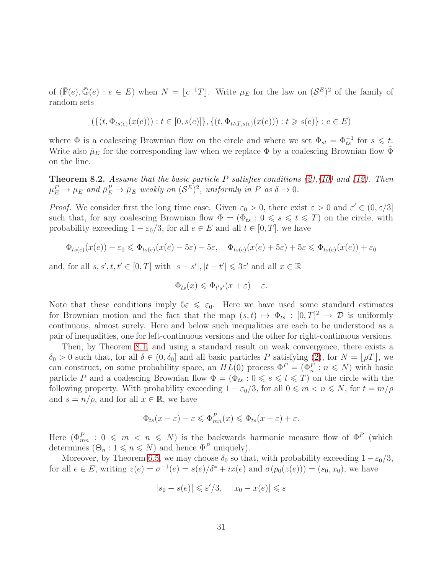of  $(\bar{F}(e), \bar{G}(e) : e \in E)$  when  $N = \lfloor c^{-1}T \rfloor$ . Write  $\mu_E$  for the law on  $(S^E)^2$  of the family of random sets

$$
(\{(t, \Phi_{ts(e)}(x(e))): t \in [0, s(e)]\}, \{(t, \Phi_{t \wedge T, s(e)}(x(e))): t \geq s(e)\} : e \in E)
$$

where  $\Phi$  is a coalescing Brownian flow on the circle and where we set  $\Phi_{st} = \Phi_{ts}^{-1}$  for  $s \leq t$ . Write also  $\bar{\mu}_E$  for the corresponding law when we replace  $\Phi$  by a coalescing Brownian flow  $\bar{\Phi}$ on the line.

<span id="page-30-0"></span>Theorem 8.2. *Assume that the basic particle* P *satisfies conditions [\(2\)](#page-8-1),[\(10\)](#page-17-1) and [\(12\)](#page-19-0). Then*  $\mu_E^P \to \mu_E$  and  $\bar{\mu}_E^P \to \bar{\mu}_E$  weakly on  $(\mathcal{S}^E)^2$ , uniformly in P as  $\delta \to 0$ .

*Proof.* We consider first the long time case. Given  $\varepsilon_0 > 0$ , there exist  $\varepsilon > 0$  and  $\varepsilon' \in (0, \varepsilon/3]$ such that, for any coalescing Brownian flow  $\Phi = (\Phi_{ts} : 0 \le s \le t \le T)$  on the circle, with probability exceeding  $1 - \varepsilon_0/3$ , for all  $e \in E$  and all  $t \in [0, T]$ , we have

$$
\Phi_{ts(e)}(x(e)) - \varepsilon_0 \leq \Phi_{ts(e)}(x(e) - 5\varepsilon) - 5\varepsilon, \quad \Phi_{ts(e)}(x(e) + 5\varepsilon) + 5\varepsilon \leq \Phi_{ts(e)}(x(e)) + \varepsilon_0
$$

and, for all  $s, s', t, t' \in [0, T]$  with  $|s - s'|, |t - t'| \leq 3\varepsilon'$  and all  $x \in \mathbb{R}$ 

$$
\Phi_{ts}(x) \leqslant \Phi_{t's'}(x+\varepsilon) + \varepsilon.
$$

Note that these conditions imply  $5\varepsilon \leq \varepsilon_0$ . Here we have used some standard estimates for Brownian motion and the fact that the map  $(s,t) \mapsto \Phi_{ts} : [0,T]^2 \to \mathcal{D}$  is uniformly continuous, almost surely. Here and below such inequalities are each to be understood as a pair of inequalities, one for left-continuous versions and the other for right-continuous versions.

Then, by Theorem [8.1,](#page-29-0) and using a standard result on weak convergence, there exists a  $\delta_0 > 0$  such that, for all  $\delta \in (0, \delta_0]$  and all basic particles P satisfying [\(2\)](#page-8-1), for  $N = \lfloor \rho T \rfloor$ , we can construct, on some probability space, an  $HL(0)$  process  $\Phi^P = (\Phi_n^P : n \leq N)$  with basic particle P and a coalescing Brownian flow  $\Phi = (\Phi_{ts} : 0 \le s \le t \le T)$  on the circle with the following property. With probability exceeding  $1 - \varepsilon_0/3$ , for all  $0 \leq m < n \leq N$ , for  $t = m/\rho$ and  $s = n/\rho$ , and for all  $x \in \mathbb{R}$ , we have

$$
\Phi_{ts}(x-\varepsilon)-\varepsilon \leqslant \Phi_{mn}^P(x) \leqslant \Phi_{ts}(x+\varepsilon)+\varepsilon.
$$

Here  $(\Phi_{mn}^P : 0 \leq m \leq n \leq N)$  is the backwards harmonic measure flow of  $\Phi^P$  (which determines  $(\Theta_n : 1 \leq n \leq N)$  and hence  $\Phi^P$  uniquely).

Moreover, by Theorem [6.5,](#page-23-0) we may choose  $\delta_0$  so that, with probability exceeding  $1-\epsilon_0/3$ , for all  $e \in E$ , writing  $z(e) = \sigma^{-1}(e) = s(e)/\delta^* + ix(e)$  and  $\sigma(p_0(z(e))) = (s_0, x_0)$ , we have

$$
|s_0 - s(e)| \leqslant \varepsilon'/3, \quad |x_0 - x(e)| \leqslant \varepsilon
$$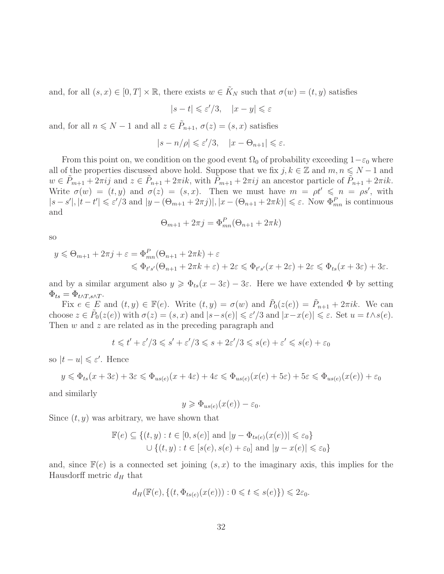and, for all  $(s, x) \in [0, T] \times \mathbb{R}$ , there exists  $w \in \tilde{K}_N$  such that  $\sigma(w) = (t, y)$  satisfies

$$
|s-t| \leqslant \varepsilon'/3, \quad |x-y| \leqslant \varepsilon
$$

and, for all  $n \le N - 1$  and all  $z \in \tilde{P}_{n+1}$ ,  $\sigma(z) = (s, x)$  satisfies

$$
|s - n/\rho| \leqslant \varepsilon'/3, \quad |x - \Theta_{n+1}| \leqslant \varepsilon.
$$

From this point on, we condition on the good event  $\Omega_0$  of probability exceeding  $1-\varepsilon_0$  where all of the properties discussed above hold. Suppose that we fix  $j, k \in \mathbb{Z}$  and  $m, n \leq N - 1$  and  $w \in \tilde{P}_{m+1} + 2\pi i j$  and  $z \in \tilde{P}_{n+1} + 2\pi i k$ , with  $\tilde{P}_{m+1} + 2\pi i j$  an ancestor particle of  $\tilde{P}_{n+1} + 2\pi i k$ . Write  $\sigma(w) = (t, y)$  and  $\sigma(z) = (s, x)$ . Then we must have  $m = \rho t' \leq n = \rho s'$ , with  $|s-s'|, |t-t'| \leq \varepsilon'/3$  and  $|y-(\Theta_{m+1}+2\pi j)|, |x-(\Theta_{n+1}+2\pi k)| \leq \varepsilon$ . Now  $\Phi_{mn}^P$  is continuous and

$$
\Theta_{m+1} + 2\pi j = \Phi_{mn}^P(\Theta_{n+1} + 2\pi k)
$$

so

$$
y \leq \Theta_{m+1} + 2\pi j + \varepsilon = \Phi_{mn}^P(\Theta_{n+1} + 2\pi k) + \varepsilon
$$
  
\$\leq \Phi\_{t's'}(\Theta\_{n+1} + 2\pi k + \varepsilon) + 2\varepsilon \leq \Phi\_{t's'}(x + 2\varepsilon) + 2\varepsilon \leq \Phi\_{ts}(x + 3\varepsilon) + 3\varepsilon.\$

and by a similar argument also  $y \ge \Phi_{ts}(x - 3\varepsilon) - 3\varepsilon$ . Here we have extended  $\Phi$  by setting  $\Phi_{ts} = \Phi_{t \wedge T, s \wedge T}.$ 

Fix  $e \in E$  and  $(t, y) \in \mathbb{F}(e)$ . Write  $(t, y) = \sigma(w)$  and  $\tilde{P}_0(z(e)) = \tilde{P}_{n+1} + 2\pi i k$ . We can choose  $z \in \tilde{P}_0(z(e))$  with  $\sigma(z) = (s, x)$  and  $|s - s(e)| \leqslant \varepsilon'/3$  and  $|x - x(e)| \leqslant \varepsilon$ . Set  $u = t \wedge s(e)$ . Then w and z are related as in the preceding paragraph and

$$
t \leqslant t' + \varepsilon'/3 \leqslant s' + \varepsilon'/3 \leqslant s + 2\varepsilon'/3 \leqslant s(e) + \varepsilon' \leqslant s(e) + \varepsilon_0
$$

so  $|t - u| \leqslant \varepsilon'$ . Hence

$$
y \leq \Phi_{ts}(x+3\varepsilon) + 3\varepsilon \leq \Phi_{us(e)}(x+4\varepsilon) + 4\varepsilon \leq \Phi_{us(e)}(x(e) + 5\varepsilon) + 5\varepsilon \leq \Phi_{us(e)}(x(e)) + \varepsilon_0
$$

and similarly

$$
y \geq \Phi_{us(e)}(x(e)) - \varepsilon_0.
$$

Since  $(t, y)$  was arbitrary, we have shown that

$$
\mathbb{F}(e) \subseteq \{(t, y) : t \in [0, s(e)] \text{ and } |y - \Phi_{ts(e)}(x(e))| \leq \varepsilon_0\}
$$
  

$$
\cup \{(t, y) : t \in [s(e), s(e) + \varepsilon_0] \text{ and } |y - x(e)| \leq \varepsilon_0\}
$$

and, since  $\mathbb{F}(e)$  is a connected set joining  $(s, x)$  to the imaginary axis, this implies for the Hausdorff metric  $d_H$  that

$$
d_H(\mathbb{F}(e), \{(t, \Phi_{ts(e)}(x(e))) : 0 \leq t \leq s(e)\}) \leq 2\varepsilon_0.
$$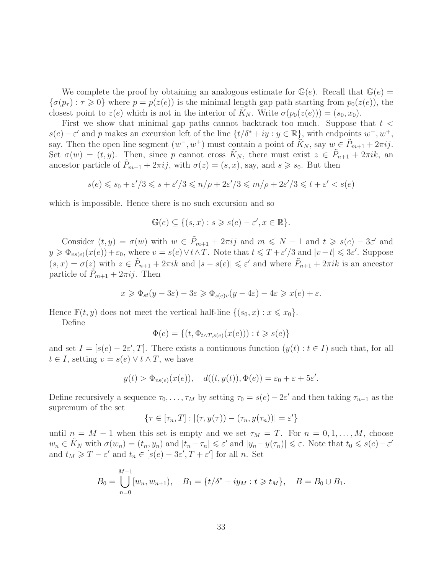We complete the proof by obtaining an analogous estimate for  $\mathbb{G}(e)$ . Recall that  $\mathbb{G}(e)$  =  ${\sigma(p_\tau): \tau \geq 0}$  where  $p = p(z(e))$  is the minimal length gap path starting from  $p_0(z(e))$ , the closest point to  $z(e)$  which is not in the interior of  $K_N$ . Write  $\sigma(p_0(z(e))) = (s_0, x_0)$ .

First we show that minimal gap paths cannot backtrack too much. Suppose that  $t <$  $s(e) - \varepsilon'$  and p makes an excursion left of the line  $\{t/\delta^* + iy : y \in \mathbb{R}\}$ , with endpoints  $w^-, w^+,$ say. Then the open line segment  $(w^-, w^+)$  must contain a point of  $\widetilde{K}_N$ , say  $w \in \widetilde{P}_{m+1} + 2\pi i j$ . Set  $\sigma(w) = (t, y)$ . Then, since p cannot cross  $\tilde{K}_N$ , there must exist  $z \in \tilde{P}_{n+1} + 2\pi i k$ , an ancestor particle of  $P_{m+1} + 2\pi i j$ , with  $\sigma(z) = (s, x)$ , say, and  $s \geq s_0$ . But then

$$
s(e) \leqslant s_0 + \varepsilon'/3 \leqslant s + \varepsilon'/3 \leqslant n/\rho + 2\varepsilon'/3 \leqslant m/\rho + 2\varepsilon'/3 \leqslant t + \varepsilon' < s(e)
$$

which is impossible. Hence there is no such excursion and so

$$
\mathbb{G}(e) \subseteq \{(s,x) : s \geqslant s(e) - \varepsilon', x \in \mathbb{R}\}.
$$

Consider  $(t, y) = \sigma(w)$  with  $w \in \tilde{P}_{m+1} + 2\pi i j$  and  $m \le N - 1$  and  $t \ge s(e) - 3\varepsilon'$  and  $y \geq \Phi_{vs(e)}(x(e)) + \varepsilon_0$ , where  $v = s(e) \vee t \wedge T$ . Note that  $t \leq T + \varepsilon'/3$  and  $|v - t| \leq 3\varepsilon'$ . Suppose  $(s, x) = \sigma(z)$  with  $z \in \tilde{P}_{n+1} + 2\pi ik$  and  $|s - s(e)| \leq \varepsilon'$  and where  $\tilde{P}_{n+1} + 2\pi ik$  is an ancestor particle of  $P_{m+1} + 2\pi i j$ . Then

$$
x \geq \Phi_{st}(y - 3\varepsilon) - 3\varepsilon \geq \Phi_{s(e)v}(y - 4\varepsilon) - 4\varepsilon \geq x(e) + \varepsilon.
$$

Hence  $\mathbb{F}(t, y)$  does not meet the vertical half-line  $\{(s_0, x) : x \leq x_0\}.$ 

Define

$$
\Phi(e) = \{(t, \Phi_{t \wedge T, s(e)}(x(e))) : t \geq s(e)\}
$$

and set  $I = [s(e) - 2\varepsilon', T]$ . There exists a continuous function  $(y(t) : t \in I)$  such that, for all  $t \in I$ , setting  $v = s(e) \vee t \wedge T$ , we have

$$
y(t) > \Phi_{vs(e)}(x(e)), \quad d((t, y(t)), \Phi(e)) = \varepsilon_0 + \varepsilon + 5\varepsilon'.
$$

Define recursively a sequence  $\tau_0, \ldots, \tau_M$  by setting  $\tau_0 = s(e) - 2\varepsilon'$  and then taking  $\tau_{n+1}$  as the supremum of the set

$$
\{\tau \in [\tau_n, T] : |(\tau, y(\tau)) - (\tau_n, y(\tau_n))| = \varepsilon'\}
$$

until  $n = M - 1$  when this set is empty and we set  $\tau_M = T$ . For  $n = 0, 1, ..., M$ , choose  $w_n \in \tilde{K}_N$  with  $\sigma(w_n) = (t_n, y_n)$  and  $|t_n - \tau_n| \leqslant \varepsilon'$  and  $|y_n - y(\tau_n)| \leqslant \varepsilon$ . Note that  $t_0 \leqslant s(e) - \varepsilon'$ and  $t_M \geqslant T - \varepsilon'$  and  $t_n \in [s(e) - 3\varepsilon', T + \varepsilon']$  for all n. Set

$$
B_0 = \bigcup_{n=0}^{M-1} [w_n, w_{n+1}), \quad B_1 = \{t/\delta^* + iy_M : t \geq t_M\}, \quad B = B_0 \cup B_1.
$$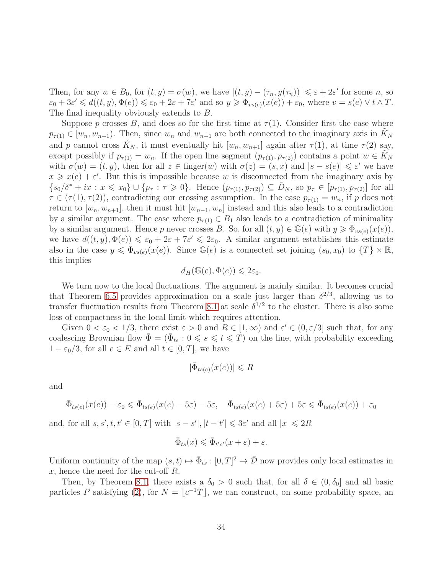Then, for any  $w \in B_0$ , for  $(t, y) = \sigma(w)$ , we have  $|(t, y) - (\tau_n, y(\tau_n))| \le \varepsilon + 2\varepsilon'$  for some n, so  $\varepsilon_0 + 3\varepsilon' \leq d((t, y), \Phi(e)) \leq \varepsilon_0 + 2\varepsilon + 7\varepsilon'$  and so  $y \geq \Phi_{vs(e)}(x(e)) + \varepsilon_0$ , where  $v = s(e) \vee t \wedge T$ . The final inequality obviously extends to B.

Suppose p crosses B, and does so for the first time at  $\tau(1)$ . Consider first the case where  $p_{\tau(1)} \in [w_n, w_{n+1})$ . Then, since  $w_n$  and  $w_{n+1}$  are both connected to the imaginary axis in  $K_N$ and p cannot cross  $\tilde{K}_N$ , it must eventually hit  $[w_n, w_{n+1}]$  again after  $\tau(1)$ , at time  $\tau(2)$  say, except possibly if  $p_{\tau(1)} = w_n$ . If the open line segment  $(p_{\tau(1)}, p_{\tau(2)})$  contains a point  $w \in \tilde{K}_N$ with  $\sigma(w) = (t, y)$ , then for all  $z \in \text{finger}(w)$  with  $\sigma(z) = (s, x)$  and  $|s - s(e)| \leq \varepsilon'$  we have  $x \geq x(e) + \varepsilon'$ . But this is impossible because w is disconnected from the imaginary axis by  ${s_0/\delta^* + ix : x \leq x_0} \cup {p_\tau : \tau \geq 0}.$  Hence  $(p_{\tau(1)}, p_{\tau(2)}) \subseteq D_N$ , so  $p_\tau \in [p_{\tau(1)}, p_{\tau(2)}]$  for all  $\tau \in (\tau(1), \tau(2))$ , contradicting our crossing assumption. In the case  $p_{\tau(1)} = w_n$ , if p does not return to  $[w_n, w_{n+1}]$ , then it must hit  $[w_{n-1}, w_n]$  instead and this also leads to a contradiction by a similar argument. The case where  $p_{\tau(1)} \in B_1$  also leads to a contradiction of minimality by a similar argument. Hence p never crosses B. So, for all  $(t, y) \in \mathbb{G}(e)$  with  $y \geq \Phi_{vs(e)}(x(e))$ , we have  $d((t, y), \Phi(e)) \leq \varepsilon_0 + 2\varepsilon + 7\varepsilon' \leq 2\varepsilon_0$ . A similar argument establishes this estimate also in the case  $y \leq \Phi_{v s(e)}(x(e))$ . Since  $\mathbb{G}(e)$  is a connected set joining  $(s_0, x_0)$  to  $\{T\} \times \mathbb{R}$ , this implies

$$
d_H(\mathbb{G}(e), \Phi(e)) \leq 2\varepsilon_0.
$$

We turn now to the local fluctuations. The argument is mainly similar. It becomes crucial that Theorem [6.5](#page-23-0) provides approximation on a scale just larger than  $\delta^{2/3}$ , allowing us to transfer fluctuation results from Theorem [8.1](#page-29-0) at scale  $\delta^{1/2}$  to the cluster. There is also some loss of compactness in the local limit which requires attention.

Given  $0 < \varepsilon_0 < 1/3$ , there exist  $\varepsilon > 0$  and  $R \in [1, \infty)$  and  $\varepsilon' \in (0, \varepsilon/3]$  such that, for any coalescing Brownian flow  $\bar{\Phi} = (\bar{\Phi}_{ts} : 0 \leqslant s \leqslant t \leqslant T)$  on the line, with probability exceeding  $1 - \varepsilon_0/3$ , for all  $e \in E$  and all  $t \in [0, T]$ , we have

$$
|\bar{\Phi}_{ts(e)}(x(e))| \leq R
$$

and

$$
\bar{\Phi}_{ts(e)}(x(e)) - \varepsilon_0 \leq \bar{\Phi}_{ts(e)}(x(e) - 5\varepsilon) - 5\varepsilon, \quad \bar{\Phi}_{ts(e)}(x(e) + 5\varepsilon) + 5\varepsilon \leq \bar{\Phi}_{ts(e)}(x(e)) + \varepsilon_0
$$

and, for all  $s, s', t, t' \in [0, T]$  with  $|s - s'|, |t - t'| \leq 3\varepsilon'$  and all  $|x| \leq 2R$ 

$$
\bar{\Phi}_{ts}(x) \leq \bar{\Phi}_{t's'}(x+\varepsilon) + \varepsilon.
$$

Uniform continuity of the map  $(s, t) \mapsto \bar{\Phi}_{ts} : [0, T]^2 \to \bar{\mathcal{D}}$  now provides only local estimates in  $x$ , hence the need for the cut-off  $R$ .

Then, by Theorem [8.1,](#page-29-0) there exists a  $\delta_0 > 0$  such that, for all  $\delta \in (0, \delta_0]$  and all basic particles P satisfying [\(2\)](#page-8-1), for  $N = \lfloor c^{-1}T \rfloor$ , we can construct, on some probability space, an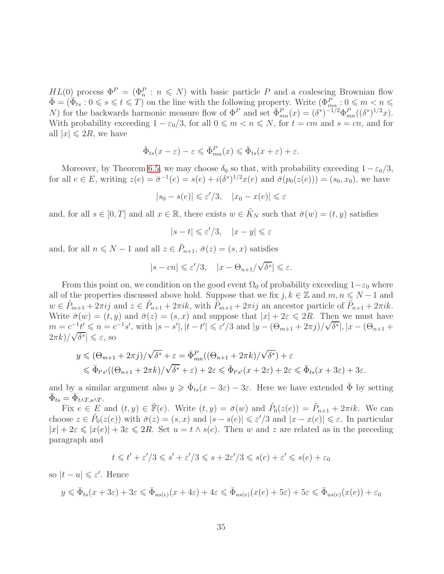$HL(0)$  process  $\Phi^P = (\Phi_n^P : n \leq N)$  with basic particle P and a coalescing Brownian flow  $\bar{\Phi} = (\bar{\Phi}_{ts} : 0 \leqslant s \leqslant t \leqslant T)$  on the line with the following property. Write  $(\Phi_{mn}^{P} : 0 \leqslant m < n \leqslant T)$ N) for the backwards harmonic measure flow of  $\Phi^P$  and set  $\bar{\Phi}_{mn}^P(x) = (\delta^*)^{-1/2} \Phi_{mn}^P((\delta^*)^{1/2}x)$ . With probability exceeding  $1 - \varepsilon_0/3$ , for all  $0 \le m < n \le N$ , for  $t = cm$  and  $s = cn$ , and for all  $|x| \le 2R$ , we have

$$
\bar{\Phi}_{ts}(x-\varepsilon)-\varepsilon \leqslant \bar{\Phi}_{mn}^P(x) \leqslant \bar{\Phi}_{ts}(x+\varepsilon)+\varepsilon.
$$

Moreover, by Theorem [6.5,](#page-23-0) we may choose  $\delta_0$  so that, with probability exceeding  $1-\epsilon_0/3$ , for all  $e \in E$ , writing  $z(e) = \bar{\sigma}^{-1}(e) = s(e) + i(\delta^*)^{1/2}x(e)$  and  $\bar{\sigma}(p_0(z(e))) = (s_0, x_0)$ , we have

$$
|s_0 - s(e)| \leqslant \varepsilon'/3, \quad |x_0 - x(e)| \leqslant \varepsilon
$$

and, for all  $s \in [0, T]$  and all  $x \in \mathbb{R}$ , there exists  $w \in \tilde{K}_N$  such that  $\bar{\sigma}(w) = (t, y)$  satisfies

$$
|s-t|\leqslant \varepsilon'/3, \quad |x-y|\leqslant \varepsilon
$$

and, for all  $n \le N - 1$  and all  $z \in \tilde{P}_{n+1}$ ,  $\bar{\sigma}(z) = (s, x)$  satisfies

$$
|s - cn| \leqslant \varepsilon'/3, \quad |x - \Theta_{n+1}/\sqrt{\delta^*}| \leqslant \varepsilon.
$$

From this point on, we condition on the good event  $\Omega_0$  of probability exceeding  $1-\varepsilon_0$  where all of the properties discussed above hold. Suppose that we fix  $j, k \in \mathbb{Z}$  and  $m, n \leq N - 1$  and  $w \in \tilde{P}_{m+1} + 2\pi i j$  and  $z \in \tilde{P}_{n+1} + 2\pi i k$ , with  $\tilde{P}_{m+1} + 2\pi i j$  an ancestor particle of  $\tilde{P}_{n+1} + 2\pi i k$ . Write  $\bar{\sigma}(w) = (t, y)$  and  $\bar{\sigma}(z) = (s, x)$  and suppose that  $|x| + 2\varepsilon \leq 2R$ . Then we must have  $m = c^{-1}t' \leq n = c^{-1}s'$ , with  $|s - s'|$ ,  $|t - t'| \leq \varepsilon'/3$  and  $|y - (\Theta_{m+1} + 2\pi j)/\sqrt{\delta^*}|$ ,  $|x - (\Theta_{n+1} + 2\pi j)/\sqrt{\delta^*}|$  $\left| \frac{\partial}{\partial x} \right| \leqslant \varepsilon$ , so

$$
y \leq (\Theta_{m+1} + 2\pi i)/\sqrt{\delta^*} + \varepsilon = \bar{\Phi}_{mn}^P((\Theta_{n+1} + 2\pi k)/\sqrt{\delta^*}) + \varepsilon
$$
  

$$
\leq \bar{\Phi}_{t's'}((\Theta_{n+1} + 2\pi k)/\sqrt{\delta^*} + \varepsilon) + 2\varepsilon \leq \bar{\Phi}_{t's'}(x + 2\varepsilon) + 2\varepsilon \leq \bar{\Phi}_{ts}(x + 3\varepsilon) + 3\varepsilon.
$$

and by a similar argument also  $y \geq \bar{\Phi}_{ts}(x - 3\varepsilon) - 3\varepsilon$ . Here we have extended  $\bar{\Phi}$  by setting  $\bar{\Phi}_{ts} = \bar{\Phi}_{t \wedge T, s \wedge T}.$ 

Fix  $e \in E$  and  $(t, y) \in \overline{\mathbb{F}}(e)$ . Write  $(t, y) = \overline{\sigma}(w)$  and  $\tilde{P}_0(z(e)) = \tilde{P}_{n+1} + 2\pi i k$ . We can choose  $z \in \tilde{P}_0(z(e))$  with  $\bar{\sigma}(z) = (s, x)$  and  $|s - s(e)| \leqslant \varepsilon'/3$  and  $|x - x(e)| \leqslant \varepsilon$ . In particular  $|x| + 2\varepsilon \leq |x(e)| + 3\varepsilon \leq 2R$ . Set  $u = t \wedge s(e)$ . Then w and z are related as in the preceding paragraph and

$$
t \leq t' + \varepsilon'/3 \leq s' + \varepsilon'/3 \leq s + 2\varepsilon'/3 \leq s(e) + \varepsilon' \leq s(e) + \varepsilon_0
$$

so  $|t - u| \leqslant \varepsilon'$ . Hence

$$
y \leq \bar{\Phi}_{ts}(x+3\varepsilon) + 3\varepsilon \leq \bar{\Phi}_{us(e)}(x+4\varepsilon) + 4\varepsilon \leq \bar{\Phi}_{us(e)}(x(e) + 5\varepsilon) + 5\varepsilon \leq \bar{\Phi}_{us(e)}(x(e)) + \varepsilon_0
$$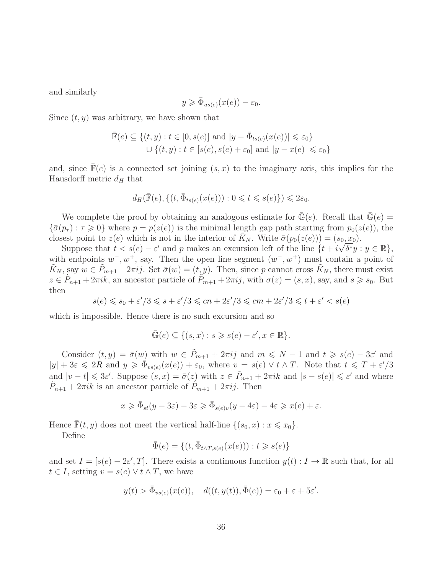and similarly

$$
y \geqslant \bar{\Phi}_{us(e)}(x(e)) - \varepsilon_0.
$$

Since  $(t, y)$  was arbitrary, we have shown that

$$
\overline{\mathbb{F}}(e) \subseteq \{(t, y) : t \in [0, s(e)] \text{ and } |y - \overline{\Phi}_{ts(e)}(x(e))| \leq \varepsilon_0\}
$$
  

$$
\cup \{(t, y) : t \in [s(e), s(e) + \varepsilon_0] \text{ and } |y - x(e)| \leq \varepsilon_0\}
$$

and, since  $\mathbb{F}(e)$  is a connected set joining  $(s, x)$  to the imaginary axis, this implies for the Hausdorff metric  $d_H$  that

$$
d_H(\bar{\mathbb{F}}(e), \{(t, \bar{\Phi}_{t s(e)}(x(e))): 0 \leq t \leq s(e)\}) \leq 2\varepsilon_0.
$$

We complete the proof by obtaining an analogous estimate for  $\bar{\mathbb{G}}(e)$ . Recall that  $\bar{\mathbb{G}}(e)$  =  ${\{\bar{\sigma}(p_{\tau}) : \tau \geq 0\}}$  where  $p = p(z(e))$  is the minimal length gap path starting from  $p_0(z(e))$ , the closest point to  $z(e)$  which is not in the interior of  $K_N$ . Write  $\bar{\sigma}(p_0(z(e))) = (s_0, x_0)$ .

Suppose that  $t < s(e) - \varepsilon'$  and p makes an excursion left of the line  $\{t + i\sqrt{\delta^*}y : y \in \mathbb{R}\},\$ with endpoints  $w^-, w^+,$  say. Then the open line segment  $(w^-, w^+)$  must contain a point of  $\tilde{K}_N$ , say  $w \in \tilde{P}_{m+1} + 2\pi i j$ . Set  $\bar{\sigma}(w) = (t, y)$ . Then, since p cannot cross  $\tilde{K}_N$ , there must exist  $z \in \tilde{P}_{n+1} + 2\pi i k$ , an ancestor particle of  $\tilde{P}_{m+1} + 2\pi i j$ , with  $\sigma(z) = (s, x)$ , say, and  $s \geq s_0$ . But then

$$
s(e) \leq s_0 + \varepsilon'/3 \leq s + \varepsilon'/3 \leq cn + 2\varepsilon'/3 \leq cm + 2\varepsilon'/3 \leq t + \varepsilon' < s(e)
$$

which is impossible. Hence there is no such excursion and so

$$
\bar{\mathbb{G}}(e) \subseteq \{(s,x) : s \geqslant s(e) - \varepsilon', x \in \mathbb{R}\}.
$$

Consider  $(t, y) = \bar{\sigma}(w)$  with  $w \in \tilde{P}_{m+1} + 2\pi i j$  and  $m \leq N - 1$  and  $t \geq s(e) - 3\varepsilon'$  and  $|y| + 3\varepsilon \leq 2R$  and  $y \geq \bar{\Phi}_{vs(e)}(x(e)) + \varepsilon_0$ , where  $v = s(e) \vee t \wedge T$ . Note that  $t \leq T + \varepsilon'/3$ and  $|v-t| \leq 3\varepsilon'$ . Suppose  $(s, x) = \bar{\sigma}(z)$  with  $z \in \tilde{P}_{n+1} + 2\pi ik$  and  $|s - s(e)| \leq \varepsilon'$  and where  $\tilde{P}_{n+1} + 2\pi i k$  is an ancestor particle of  $\tilde{P}_{m+1} + 2\pi i j$ . Then

$$
x \geq \bar{\Phi}_{st}(y - 3\varepsilon) - 3\varepsilon \geq \bar{\Phi}_{s(e)v}(y - 4\varepsilon) - 4\varepsilon \geq x(e) + \varepsilon.
$$

Hence  $\mathbb{F}(t, y)$  does not meet the vertical half-line  $\{(s_0, x) : x \leq x_0\}.$ 

Define

$$
\bar{\Phi}(e) = \{(t, \bar{\Phi}_{t \wedge T, s(e)}(x(e))): t \geqslant s(e)\}
$$

and set  $I = [s(e) - 2\varepsilon', T]$ . There exists a continuous function  $y(t) : I \to \mathbb{R}$  such that, for all  $t \in I$ , setting  $v = s(e) \vee t \wedge T$ , we have

$$
y(t) > \bar{\Phi}_{vs(e)}(x(e)), \quad d((t, y(t)), \bar{\Phi}(e)) = \varepsilon_0 + \varepsilon + 5\varepsilon'.
$$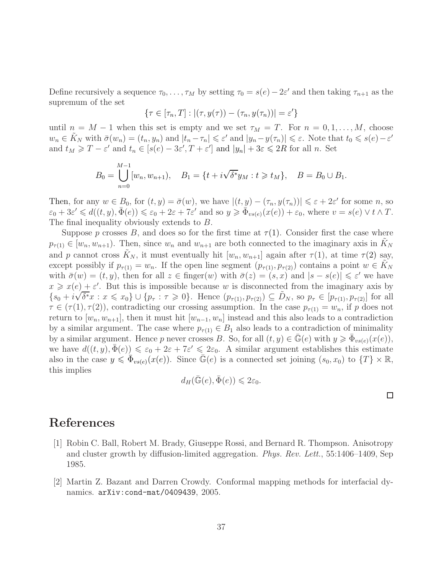Define recursively a sequence  $\tau_0, \ldots, \tau_M$  by setting  $\tau_0 = s(e) - 2\varepsilon'$  and then taking  $\tau_{n+1}$  as the supremum of the set

$$
\{\tau \in [\tau_n, T] : |(\tau, y(\tau)) - (\tau_n, y(\tau_n))| = \varepsilon'\}
$$

until  $n = M - 1$  when this set is empty and we set  $\tau_M = T$ . For  $n = 0, 1, ..., M$ , choose  $w_n \in \tilde{K}_N$  with  $\bar{\sigma}(w_n) = (t_n, y_n)$  and  $|t_n - \tau_n| \leqslant \varepsilon'$  and  $|y_n - y(\tau_n)| \leqslant \varepsilon$ . Note that  $t_0 \leqslant s(e) - \varepsilon'$ and  $t_M \geq T - \varepsilon'$  and  $t_n \in [s(e) - 3\varepsilon', T + \varepsilon']$  and  $|y_n| + 3\varepsilon \leq 2R$  for all n. Set

$$
B_0 = \bigcup_{n=0}^{M-1} [w_n, w_{n+1}), \quad B_1 = \{t + i\sqrt{\delta^*}y_M : t \ge t_M\}, \quad B = B_0 \cup B_1.
$$

Then, for any  $w \in B_0$ , for  $(t, y) = \bar{\sigma}(w)$ , we have  $|(t, y) - (\tau_n, y(\tau_n))| \leq \varepsilon + 2\varepsilon'$  for some n, so  $\varepsilon_0 + 3\varepsilon' \le d((t, y), \bar{\Phi}(e)) \le \varepsilon_0 + 2\varepsilon + 7\varepsilon'$  and so  $y \ge \bar{\Phi}_{vs(e)}(x(e)) + \varepsilon_0$ , where  $v = s(e) \vee t \wedge T$ . The final inequality obviously extends to B.

Suppose p crosses B, and does so for the first time at  $\tau(1)$ . Consider first the case where  $p_{\tau(1)} \in [w_n, w_{n+1})$ . Then, since  $w_n$  and  $w_{n+1}$  are both connected to the imaginary axis in  $K_N$ and p cannot cross  $K_N$ , it must eventually hit  $[w_n, w_{n+1}]$  again after  $\tau(1)$ , at time  $\tau(2)$  say, except possibly if  $p_{\tau(1)} = w_n$ . If the open line segment  $(p_{\tau(1)}, p_{\tau(2)})$  contains a point  $w \in K_N$ with  $\bar{\sigma}(w) = (t, y)$ , then for all  $z \in \text{finger}(w)$  with  $\bar{\sigma}(z) = (s, x)$  and  $|s - s(e)| \leq \varepsilon'$  we have  $x \geq x(e) + \varepsilon'$ . But this is impossible because w is disconnected from the imaginary axis by  ${s_0 + i\sqrt{\delta^*x} : x \leq x_0} \cup {p_\tau : \tau \geq 0}.$  Hence  $(p_{\tau(1)}, p_{\tau(2)}) \subseteq \tilde{D}_N$ , so  $p_\tau \in [p_{\tau(1)}, p_{\tau(2)}]$  for all  $\tau \in (\tau(1), \tau(2))$ , contradicting our crossing assumption. In the case  $p_{\tau(1)} = w_n$ , if p does not return to  $[w_n, w_{n+1}]$ , then it must hit  $[w_{n-1}, w_n]$  instead and this also leads to a contradiction by a similar argument. The case where  $p_{\tau(1)} \in B_1$  also leads to a contradiction of minimality by a similar argument. Hence p never crosses B. So, for all  $(t, y) \in \bar{\mathbb{G}}(e)$  with  $y \geq \bar{\Phi}_{vs(e)}(x(e)),$ we have  $d((t, y), \bar{\Phi}(e)) \leq \varepsilon_0 + 2\varepsilon + 7\varepsilon' \leq 2\varepsilon_0$ . A similar argument establishes this estimate also in the case  $y \leq \bar{\Phi}_{vs(e)}(x(e))$ . Since  $\bar{\mathbb{G}}(e)$  is a connected set joining  $(s_0, x_0)$  to  $\{T\} \times \mathbb{R}$ , this implies

$$
d_H(\bar{\mathbb{G}}(e), \bar{\Phi}(e)) \leq 2\varepsilon_0.
$$

 $\Box$ 

### <span id="page-36-0"></span>References

- [1] Robin C. Ball, Robert M. Brady, Giuseppe Rossi, and Bernard R. Thompson. Anisotropy and cluster growth by diffusion-limited aggregation. *Phys. Rev. Lett.*, 55:1406–1409, Sep 1985.
- <span id="page-36-1"></span>[2] Martin Z. Bazant and Darren Crowdy. Conformal mapping methods for interfacial dynamics. arXiv:cond-mat/0409439, 2005.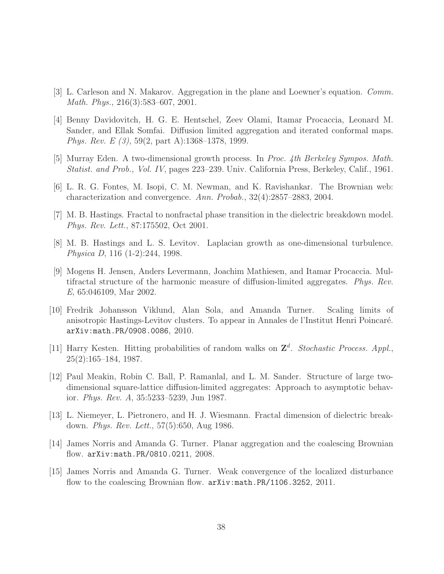- <span id="page-37-9"></span><span id="page-37-6"></span>[3] L. Carleson and N. Makarov. Aggregation in the plane and Loewner's equation. *Comm. Math. Phys.*, 216(3):583–607, 2001.
- [4] Benny Davidovitch, H. G. E. Hentschel, Zeev Olami, Itamar Procaccia, Leonard M. Sander, and Ellak Somfai. Diffusion limited aggregation and iterated conformal maps. *Phys. Rev. E (3)*, 59(2, part A):1368–1378, 1999.
- <span id="page-37-11"></span><span id="page-37-2"></span>[5] Murray Eden. A two-dimensional growth process. In *Proc. 4th Berkeley Sympos. Math. Statist. and Prob., Vol. IV*, pages 223–239. Univ. California Press, Berkeley, Calif., 1961.
- <span id="page-37-8"></span>[6] L. R. G. Fontes, M. Isopi, C. M. Newman, and K. Ravishankar. The Brownian web: characterization and convergence. *Ann. Probab.*, 32(4):2857–2883, 2004.
- <span id="page-37-0"></span>[7] M. B. Hastings. Fractal to nonfractal phase transition in the dielectric breakdown model. *Phys. Rev. Lett.*, 87:175502, Oct 2001.
- <span id="page-37-7"></span>[8] M. B. Hastings and L. S. Levitov. Laplacian growth as one-dimensional turbulence. *Physica D*, 116 (1-2):244, 1998.
- [9] Mogens H. Jensen, Anders Levermann, Joachim Mathiesen, and Itamar Procaccia. Multifractal structure of the harmonic measure of diffusion-limited aggregates. *Phys. Rev. E*, 65:046109, Mar 2002.
- <span id="page-37-10"></span>[10] Fredrik Johansson Viklund, Alan Sola, and Amanda Turner. Scaling limits of anisotropic Hastings-Levitov clusters. To appear in Annales de l'Institut Henri Poincar´e. arXiv:math.PR/0908.0086, 2010.
- <span id="page-37-5"></span>[11] Harry Kesten. Hitting probabilities of random walks on  $\mathbb{Z}^d$ . *Stochastic Process. Appl.*, 25(2):165–184, 1987.
- <span id="page-37-4"></span>[12] Paul Meakin, Robin C. Ball, P. Ramanlal, and L. M. Sander. Structure of large twodimensional square-lattice diffusion-limited aggregates: Approach to asymptotic behavior. *Phys. Rev. A*, 35:5233–5239, Jun 1987.
- <span id="page-37-3"></span>[13] L. Niemeyer, L. Pietronero, and H. J. Wiesmann. Fractal dimension of dielectric breakdown. *Phys. Rev. Lett.*, 57(5):650, Aug 1986.
- <span id="page-37-12"></span><span id="page-37-1"></span>[14] James Norris and Amanda G. Turner. Planar aggregation and the coalescing Brownian flow. arXiv:math.PR/0810.0211, 2008.
- [15] James Norris and Amanda G. Turner. Weak convergence of the localized disturbance flow to the coalescing Brownian flow.  $arXiv:math.PR/1106.3252, 2011$ .